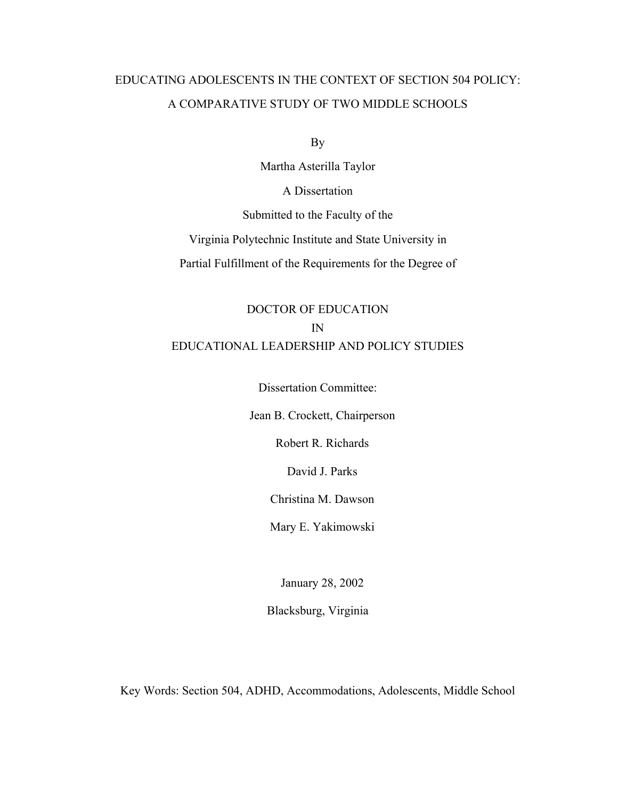# EDUCATING ADOLESCENTS IN THE CONTEXT OF SECTION 504 POLICY: A COMPARATIVE STUDY OF TWO MIDDLE SCHOOLS

By

Martha Asterilla Taylor

A Dissertation

Submitted to the Faculty of the

Virginia Polytechnic Institute and State University in

Partial Fulfillment of the Requirements for the Degree of

# DOCTOR OF EDUCATION IN EDUCATIONAL LEADERSHIP AND POLICY STUDIES

Dissertation Committee:

Jean B. Crockett, Chairperson

Robert R. Richards

David J. Parks

Christina M. Dawson

Mary E. Yakimowski

January 28, 2002

Blacksburg, Virginia

Key Words: Section 504, ADHD, Accommodations, Adolescents, Middle School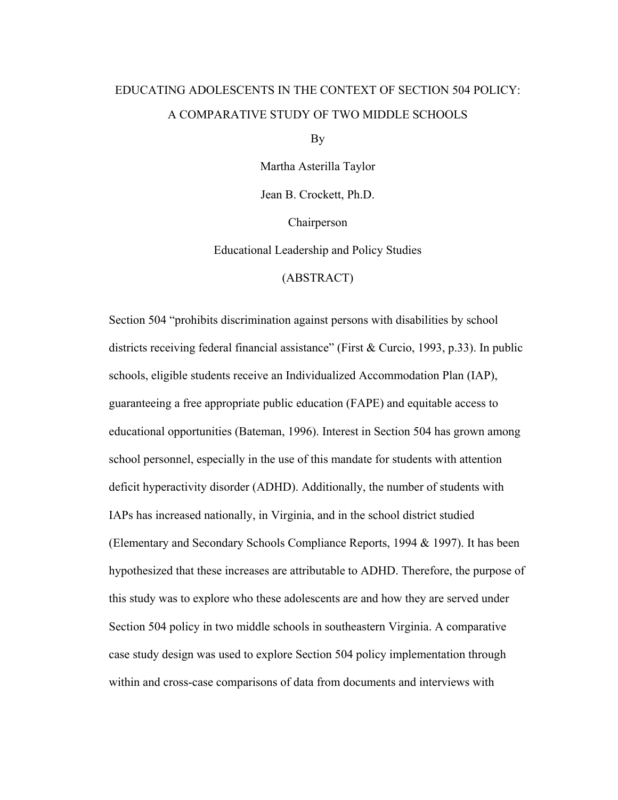# EDUCATING ADOLESCENTS IN THE CONTEXT OF SECTION 504 POLICY: A COMPARATIVE STUDY OF TWO MIDDLE SCHOOLS

By

Martha Asterilla Taylor

Jean B. Crockett, Ph.D.

Chairperson

Educational Leadership and Policy Studies

(ABSTRACT)

Section 504 "prohibits discrimination against persons with disabilities by school districts receiving federal financial assistance" (First & Curcio, 1993, p.33). In public schools, eligible students receive an Individualized Accommodation Plan (IAP), guaranteeing a free appropriate public education (FAPE) and equitable access to educational opportunities (Bateman, 1996). Interest in Section 504 has grown among school personnel, especially in the use of this mandate for students with attention deficit hyperactivity disorder (ADHD). Additionally, the number of students with IAPs has increased nationally, in Virginia, and in the school district studied (Elementary and Secondary Schools Compliance Reports, 1994 & 1997). It has been hypothesized that these increases are attributable to ADHD. Therefore, the purpose of this study was to explore who these adolescents are and how they are served under Section 504 policy in two middle schools in southeastern Virginia. A comparative case study design was used to explore Section 504 policy implementation through within and cross-case comparisons of data from documents and interviews with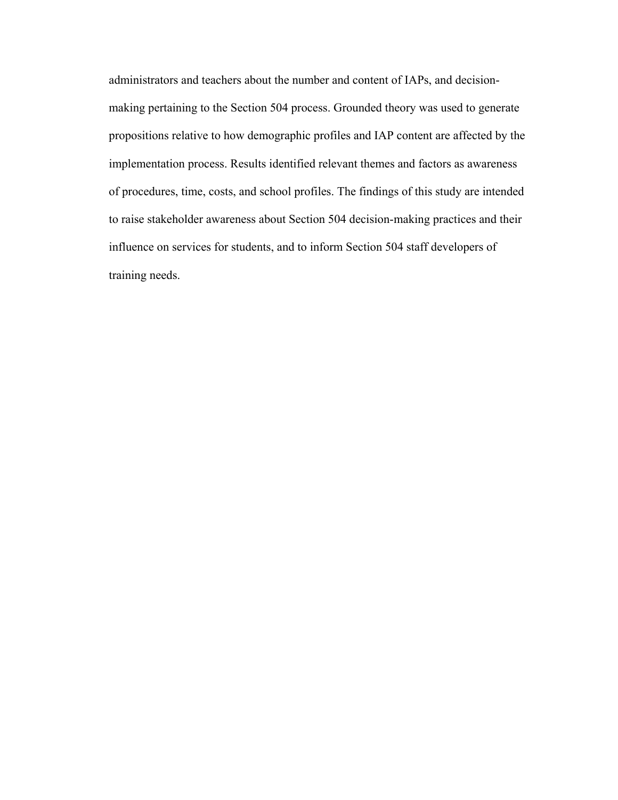administrators and teachers about the number and content of IAPs, and decisionmaking pertaining to the Section 504 process. Grounded theory was used to generate propositions relative to how demographic profiles and IAP content are affected by the implementation process. Results identified relevant themes and factors as awareness of procedures, time, costs, and school profiles. The findings of this study are intended to raise stakeholder awareness about Section 504 decision-making practices and their influence on services for students, and to inform Section 504 staff developers of training needs.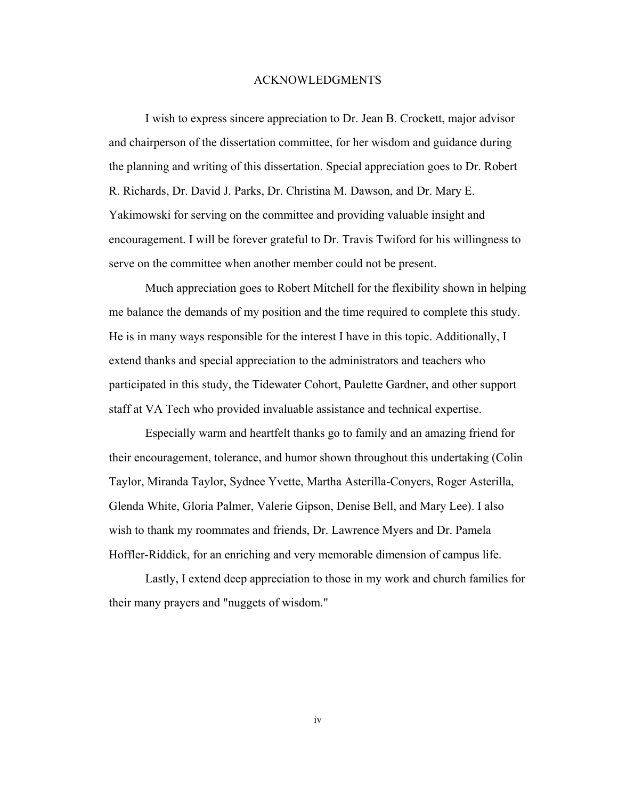## ACKNOWLEDGMENTS

I wish to express sincere appreciation to Dr. Jean B. Crockett, major advisor and chairperson of the dissertation committee, for her wisdom and guidance during the planning and writing of this dissertation. Special appreciation goes to Dr. Robert R. Richards, Dr. David J. Parks, Dr. Christina M. Dawson, and Dr. Mary E. Yakimowski for serving on the committee and providing valuable insight and encouragement. I will be forever grateful to Dr. Travis Twiford for his willingness to serve on the committee when another member could not be present.

Much appreciation goes to Robert Mitchell for the flexibility shown in helping me balance the demands of my position and the time required to complete this study. He is in many ways responsible for the interest I have in this topic. Additionally, I extend thanks and special appreciation to the administrators and teachers who participated in this study, the Tidewater Cohort, Paulette Gardner, and other support staff at VA Tech who provided invaluable assistance and technical expertise.

Especially warm and heartfelt thanks go to family and an amazing friend for their encouragement, tolerance, and humor shown throughout this undertaking (Colin Taylor, Miranda Taylor, Sydnee Yvette, Martha Asterilla-Conyers, Roger Asterilla, Glenda White, Gloria Palmer, Valerie Gipson, Denise Bell, and Mary Lee). I also wish to thank my roommates and friends, Dr. Lawrence Myers and Dr. Pamela Hoffler-Riddick, for an enriching and very memorable dimension of campus life.

Lastly, I extend deep appreciation to those in my work and church families for their many prayers and "nuggets of wisdom."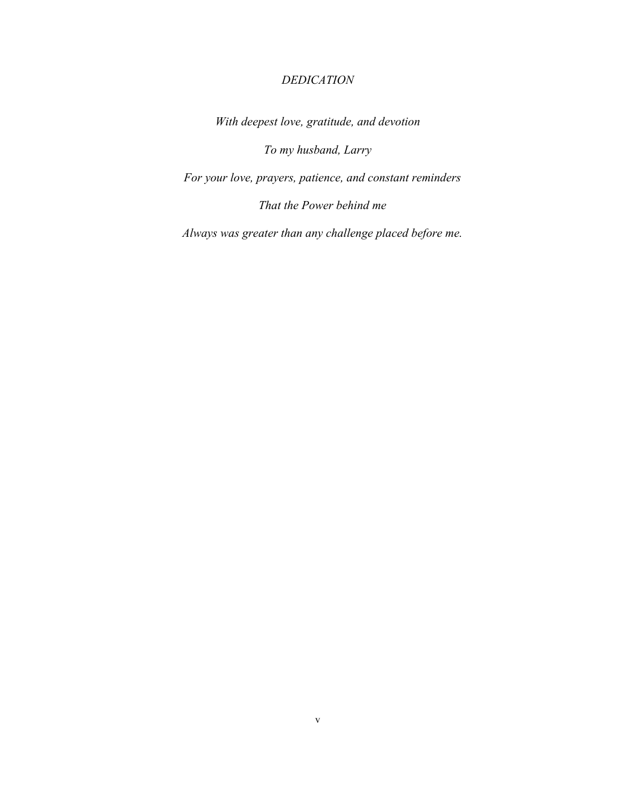# *DEDICATION*

*With deepest love, gratitude, and devotion* 

*To my husband, Larry* 

*For your love, prayers, patience, and constant reminders* 

*That the Power behind me* 

*Always was greater than any challenge placed before me.*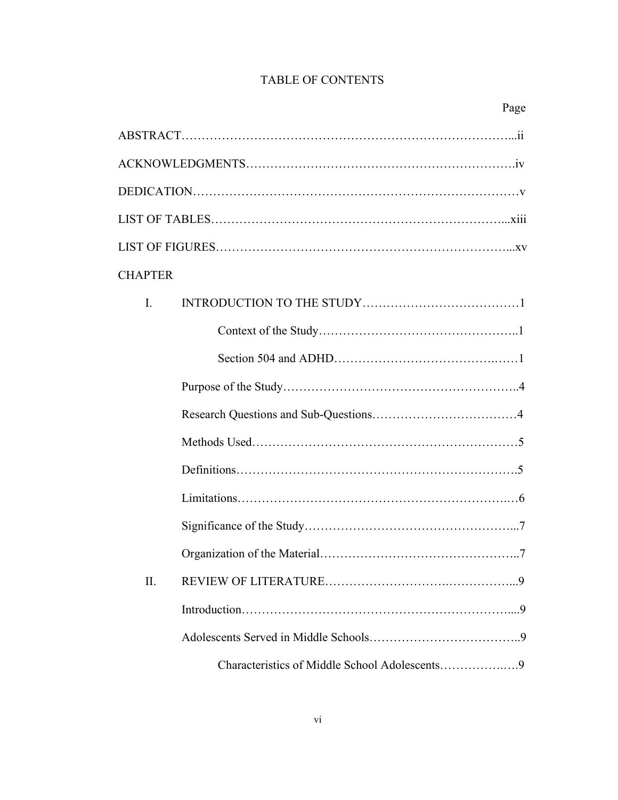# TABLE OF CONTENTS

| <b>CHAPTER</b> |                                               |  |
|----------------|-----------------------------------------------|--|
| $\mathbf{I}$   |                                               |  |
|                |                                               |  |
|                |                                               |  |
|                |                                               |  |
|                |                                               |  |
|                |                                               |  |
|                |                                               |  |
|                |                                               |  |
|                |                                               |  |
|                |                                               |  |
| П.             |                                               |  |
|                |                                               |  |
|                |                                               |  |
|                | Characteristics of Middle School Adolescents9 |  |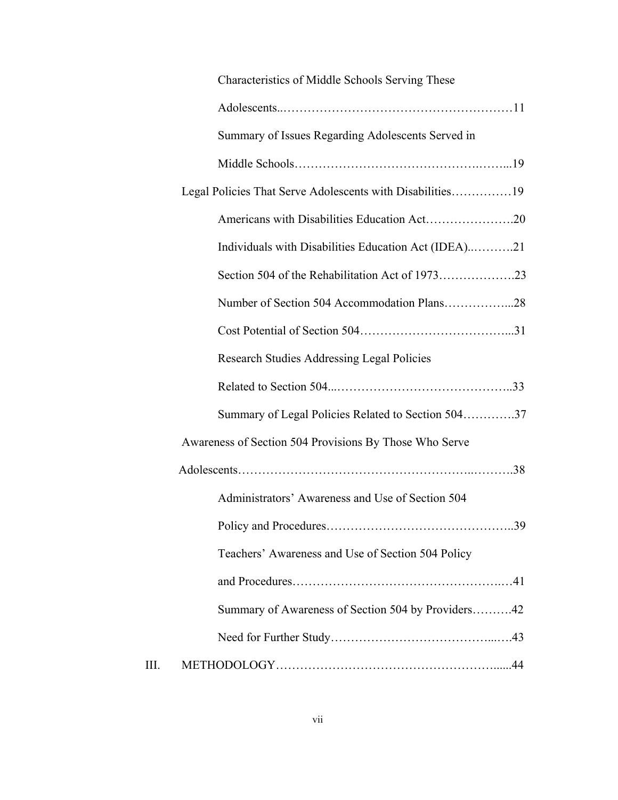|      | Characteristics of Middle Schools Serving These           |  |
|------|-----------------------------------------------------------|--|
|      |                                                           |  |
|      | Summary of Issues Regarding Adolescents Served in         |  |
|      |                                                           |  |
|      | Legal Policies That Serve Adolescents with Disabilities19 |  |
|      |                                                           |  |
|      | Individuals with Disabilities Education Act (IDEA)21      |  |
|      |                                                           |  |
|      |                                                           |  |
|      |                                                           |  |
|      | <b>Research Studies Addressing Legal Policies</b>         |  |
|      |                                                           |  |
|      | Summary of Legal Policies Related to Section 50437        |  |
|      | Awareness of Section 504 Provisions By Those Who Serve    |  |
|      |                                                           |  |
|      | Administrators' Awareness and Use of Section 504          |  |
|      |                                                           |  |
|      | Teachers' Awareness and Use of Section 504 Policy         |  |
|      |                                                           |  |
|      | Summary of Awareness of Section 504 by Providers42        |  |
|      |                                                           |  |
| III. |                                                           |  |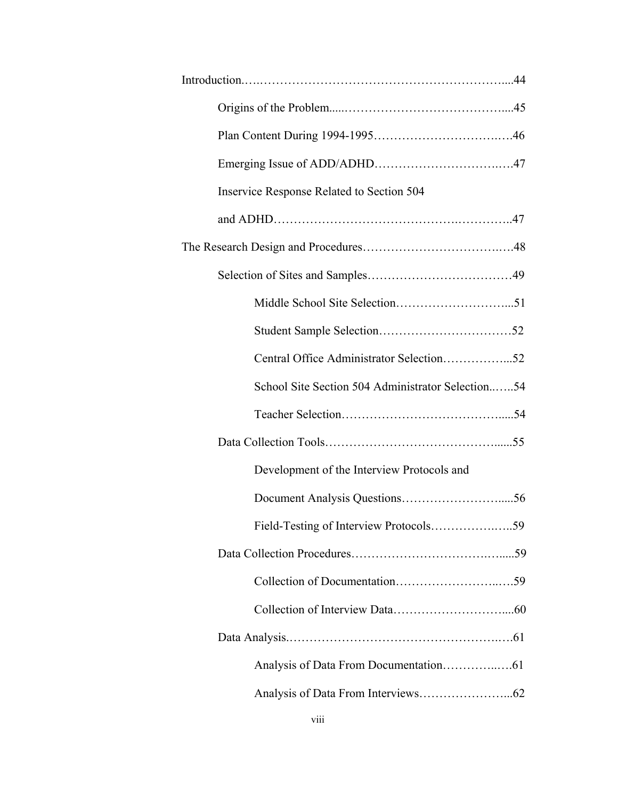| Inservice Response Related to Section 504         |
|---------------------------------------------------|
|                                                   |
|                                                   |
|                                                   |
|                                                   |
|                                                   |
|                                                   |
| School Site Section 504 Administrator Selection54 |
|                                                   |
|                                                   |
| Development of the Interview Protocols and        |
|                                                   |
|                                                   |
|                                                   |
|                                                   |
|                                                   |
|                                                   |
|                                                   |
|                                                   |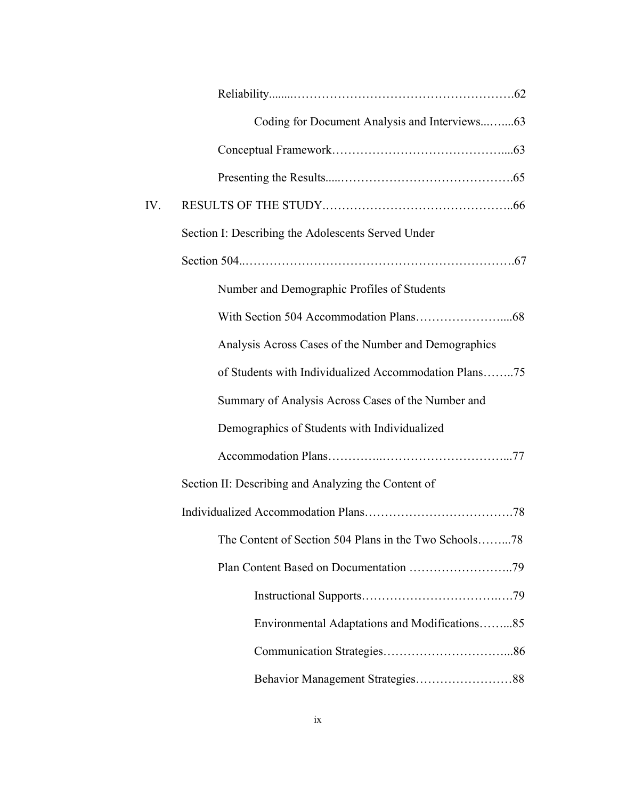|     | Coding for Document Analysis and Interviews63         |
|-----|-------------------------------------------------------|
|     |                                                       |
|     |                                                       |
| IV. |                                                       |
|     | Section I: Describing the Adolescents Served Under    |
|     |                                                       |
|     | Number and Demographic Profiles of Students           |
|     |                                                       |
|     | Analysis Across Cases of the Number and Demographics  |
|     | of Students with Individualized Accommodation Plans75 |
|     | Summary of Analysis Across Cases of the Number and    |
|     | Demographics of Students with Individualized          |
|     |                                                       |
|     | Section II: Describing and Analyzing the Content of   |
|     |                                                       |
|     | The Content of Section 504 Plans in the Two Schools78 |
|     |                                                       |
|     |                                                       |
|     | Environmental Adaptations and Modifications85         |
|     |                                                       |
|     |                                                       |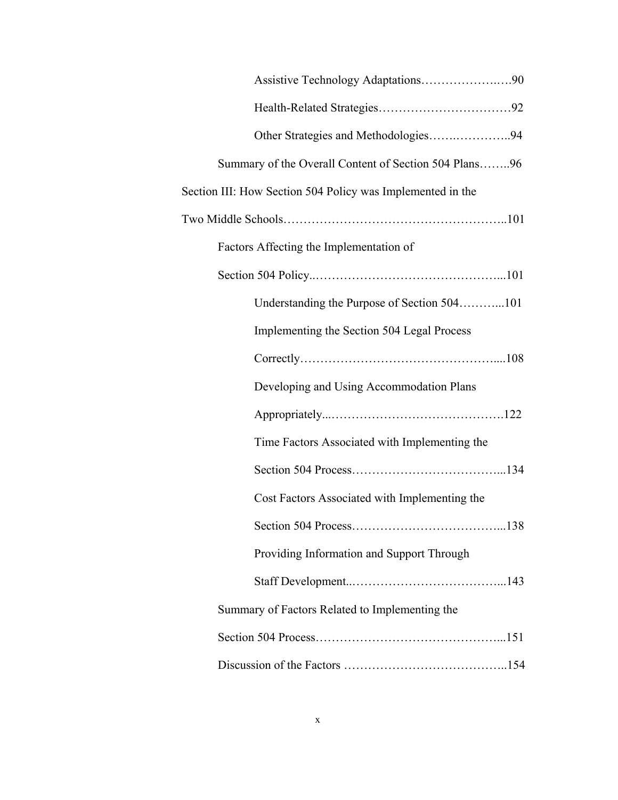| Other Strategies and Methodologies94                       |
|------------------------------------------------------------|
| Summary of the Overall Content of Section 504 Plans96      |
| Section III: How Section 504 Policy was Implemented in the |
|                                                            |
| Factors Affecting the Implementation of                    |
|                                                            |
| Understanding the Purpose of Section 504101                |
| Implementing the Section 504 Legal Process                 |
|                                                            |
| Developing and Using Accommodation Plans                   |
|                                                            |
| Time Factors Associated with Implementing the              |
|                                                            |
| Cost Factors Associated with Implementing the              |
| . 138                                                      |
| Providing Information and Support Through                  |
|                                                            |
| Summary of Factors Related to Implementing the             |
|                                                            |
|                                                            |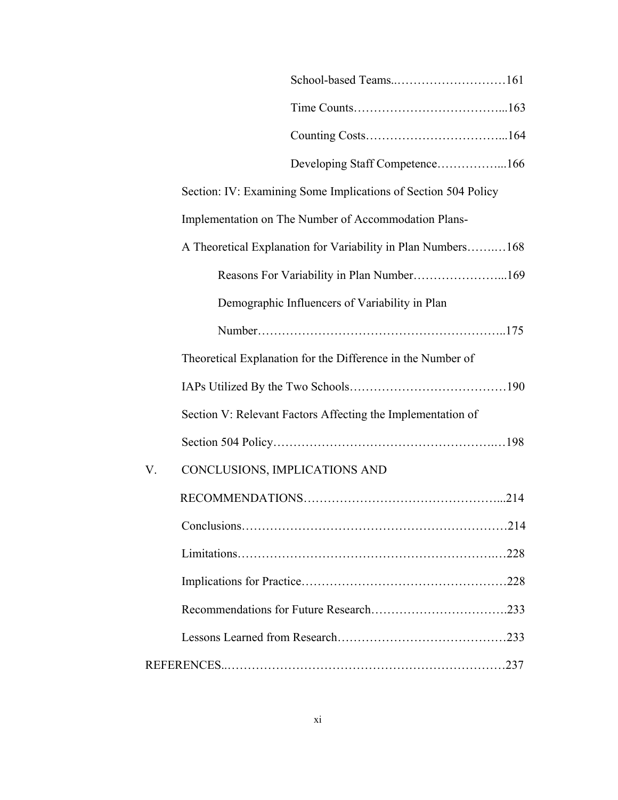|    | Section: IV: Examining Some Implications of Section 504 Policy |
|----|----------------------------------------------------------------|
|    | Implementation on The Number of Accommodation Plans-           |
|    | A Theoretical Explanation for Variability in Plan Numbers168   |
|    | Reasons For Variability in Plan Number169                      |
|    | Demographic Influencers of Variability in Plan                 |
|    |                                                                |
|    | Theoretical Explanation for the Difference in the Number of    |
|    |                                                                |
|    | Section V: Relevant Factors Affecting the Implementation of    |
|    |                                                                |
| V. | CONCLUSIONS, IMPLICATIONS AND                                  |
|    |                                                                |
|    |                                                                |
|    |                                                                |
|    |                                                                |
|    |                                                                |
|    |                                                                |
|    |                                                                |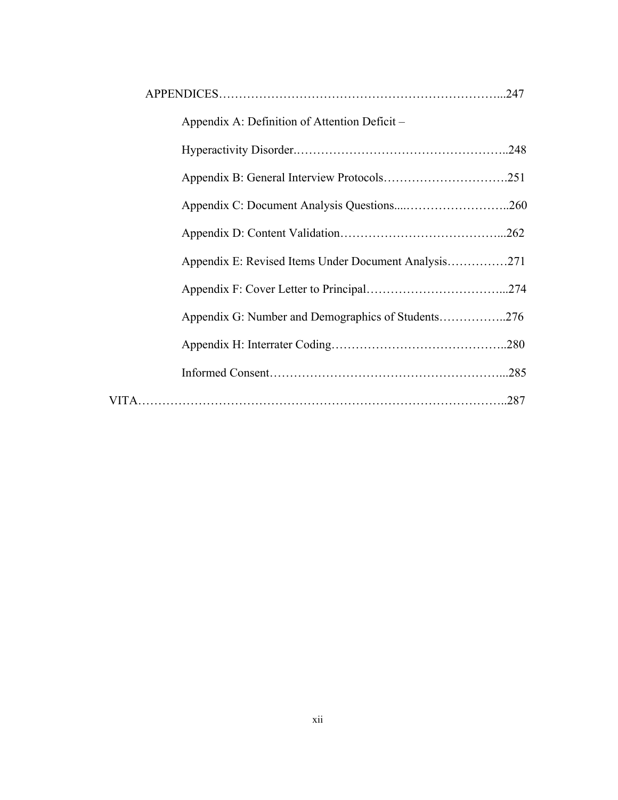| Appendix A: Definition of Attention Deficit –        |      |
|------------------------------------------------------|------|
|                                                      |      |
|                                                      |      |
|                                                      |      |
|                                                      |      |
| Appendix E: Revised Items Under Document Analysis271 |      |
|                                                      |      |
| Appendix G: Number and Demographics of Students276   |      |
|                                                      |      |
|                                                      |      |
|                                                      | .287 |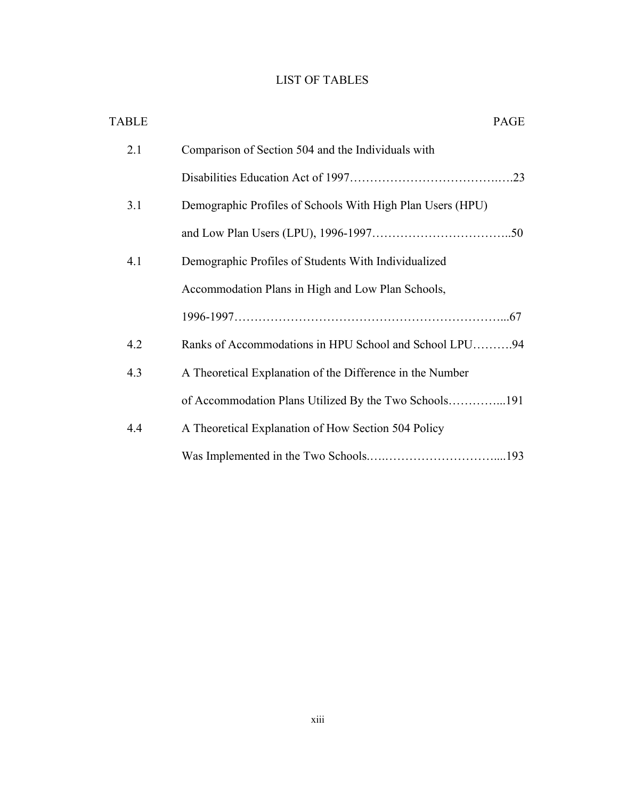# LIST OF TABLES

| <b>TABLE</b>                                                      | PAGE |
|-------------------------------------------------------------------|------|
| 2.1<br>Comparison of Section 504 and the Individuals with         |      |
|                                                                   |      |
| Demographic Profiles of Schools With High Plan Users (HPU)<br>3.1 |      |
|                                                                   |      |
| 4.1<br>Demographic Profiles of Students With Individualized       |      |
| Accommodation Plans in High and Low Plan Schools,                 |      |
|                                                                   |      |
| Ranks of Accommodations in HPU School and School LPU94<br>4.2     |      |
| A Theoretical Explanation of the Difference in the Number<br>4.3  |      |
| of Accommodation Plans Utilized By the Two Schools191             |      |
| A Theoretical Explanation of How Section 504 Policy<br>4.4        |      |
|                                                                   |      |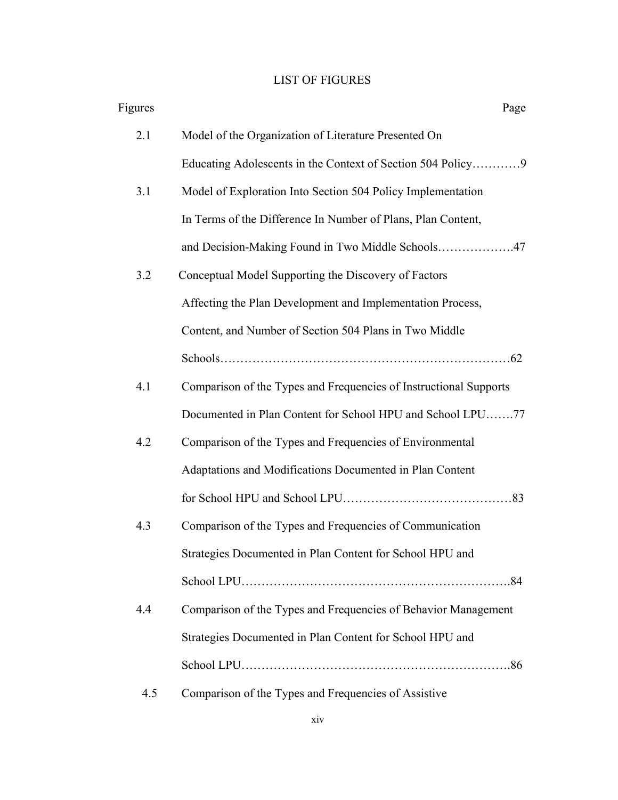# LIST OF FIGURES

| Figures | Page                                                              |
|---------|-------------------------------------------------------------------|
| 2.1     | Model of the Organization of Literature Presented On              |
|         |                                                                   |
| 3.1     | Model of Exploration Into Section 504 Policy Implementation       |
|         | In Terms of the Difference In Number of Plans, Plan Content,      |
|         | and Decision-Making Found in Two Middle Schools47                 |
| 3.2     | Conceptual Model Supporting the Discovery of Factors              |
|         | Affecting the Plan Development and Implementation Process,        |
|         | Content, and Number of Section 504 Plans in Two Middle            |
|         |                                                                   |
| 4.1     | Comparison of the Types and Frequencies of Instructional Supports |
|         | Documented in Plan Content for School HPU and School LPU77        |
| 4.2     | Comparison of the Types and Frequencies of Environmental          |
|         | Adaptations and Modifications Documented in Plan Content          |
|         |                                                                   |
| 4.3     | Comparison of the Types and Frequencies of Communication          |
|         | Strategies Documented in Plan Content for School HPU and          |
|         |                                                                   |
| 4.4     | Comparison of the Types and Frequencies of Behavior Management    |
|         | Strategies Documented in Plan Content for School HPU and          |
|         |                                                                   |
| 4.5     | Comparison of the Types and Frequencies of Assistive              |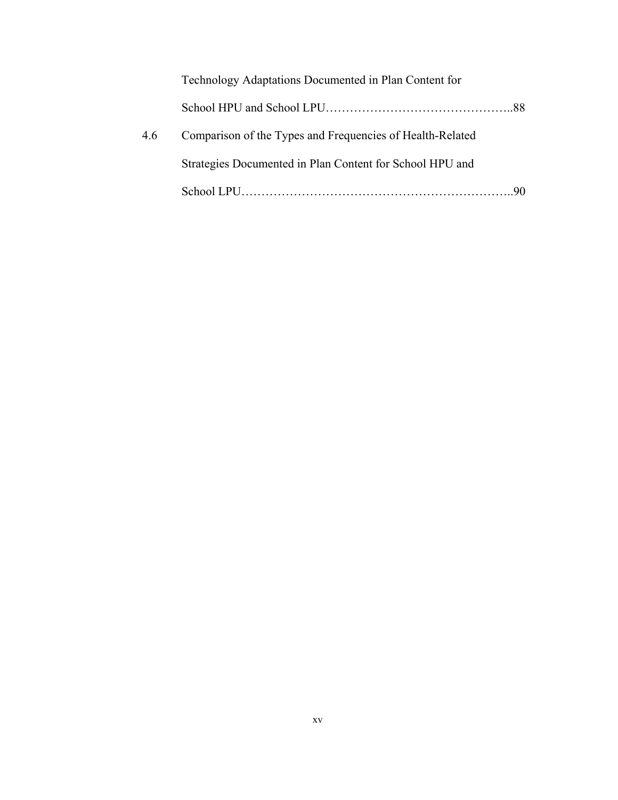|     | Technology Adaptations Documented in Plan Content for     |  |
|-----|-----------------------------------------------------------|--|
|     |                                                           |  |
| 4.6 | Comparison of the Types and Frequencies of Health-Related |  |
|     | Strategies Documented in Plan Content for School HPU and  |  |
|     |                                                           |  |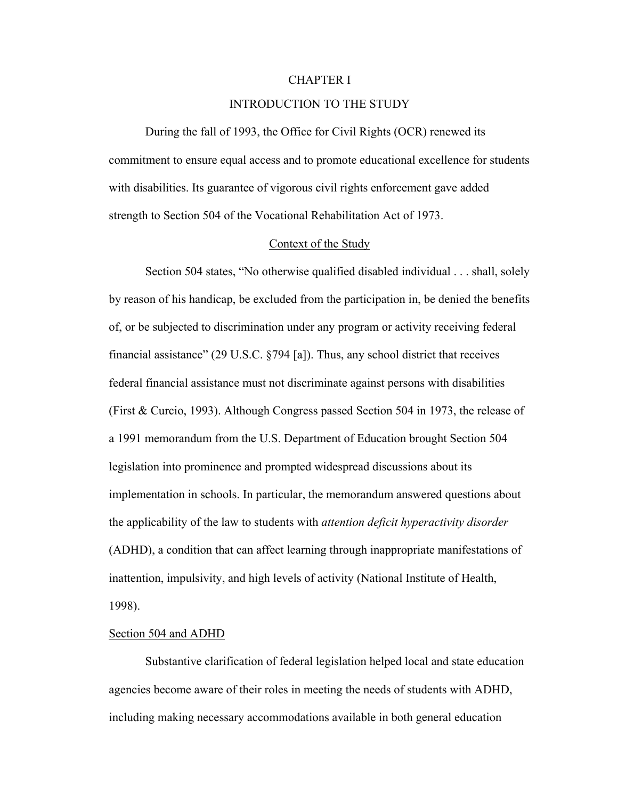#### CHAPTER I

## INTRODUCTION TO THE STUDY

 During the fall of 1993, the Office for Civil Rights (OCR) renewed its commitment to ensure equal access and to promote educational excellence for students with disabilities. Its guarantee of vigorous civil rights enforcement gave added strength to Section 504 of the Vocational Rehabilitation Act of 1973.

#### Context of the Study

 Section 504 states, "No otherwise qualified disabled individual . . . shall, solely by reason of his handicap, be excluded from the participation in, be denied the benefits of, or be subjected to discrimination under any program or activity receiving federal financial assistance" (29 U.S.C. §794 [a]). Thus, any school district that receives federal financial assistance must not discriminate against persons with disabilities (First & Curcio, 1993). Although Congress passed Section 504 in 1973, the release of a 1991 memorandum from the U.S. Department of Education brought Section 504 legislation into prominence and prompted widespread discussions about its implementation in schools. In particular, the memorandum answered questions about the applicability of the law to students with *attention deficit hyperactivity disorder* (ADHD), a condition that can affect learning through inappropriate manifestations of inattention, impulsivity, and high levels of activity (National Institute of Health, 1998).

#### Section 504 and ADHD

 Substantive clarification of federal legislation helped local and state education agencies become aware of their roles in meeting the needs of students with ADHD, including making necessary accommodations available in both general education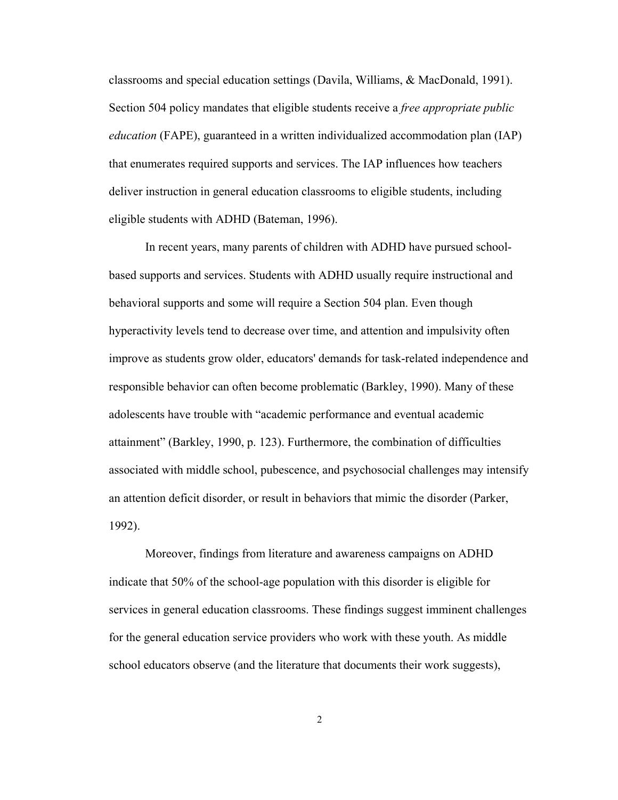classrooms and special education settings (Davila, Williams, & MacDonald, 1991). Section 504 policy mandates that eligible students receive a *free appropriate public education* (FAPE), guaranteed in a written individualized accommodation plan (IAP) that enumerates required supports and services. The IAP influences how teachers deliver instruction in general education classrooms to eligible students, including eligible students with ADHD (Bateman, 1996).

In recent years, many parents of children with ADHD have pursued schoolbased supports and services. Students with ADHD usually require instructional and behavioral supports and some will require a Section 504 plan. Even though hyperactivity levels tend to decrease over time, and attention and impulsivity often improve as students grow older, educators' demands for task-related independence and responsible behavior can often become problematic (Barkley, 1990). Many of these adolescents have trouble with "academic performance and eventual academic attainment" (Barkley, 1990, p. 123). Furthermore, the combination of difficulties associated with middle school, pubescence, and psychosocial challenges may intensify an attention deficit disorder, or result in behaviors that mimic the disorder (Parker, 1992).

Moreover, findings from literature and awareness campaigns on ADHD indicate that 50% of the school-age population with this disorder is eligible for services in general education classrooms. These findings suggest imminent challenges for the general education service providers who work with these youth. As middle school educators observe (and the literature that documents their work suggests),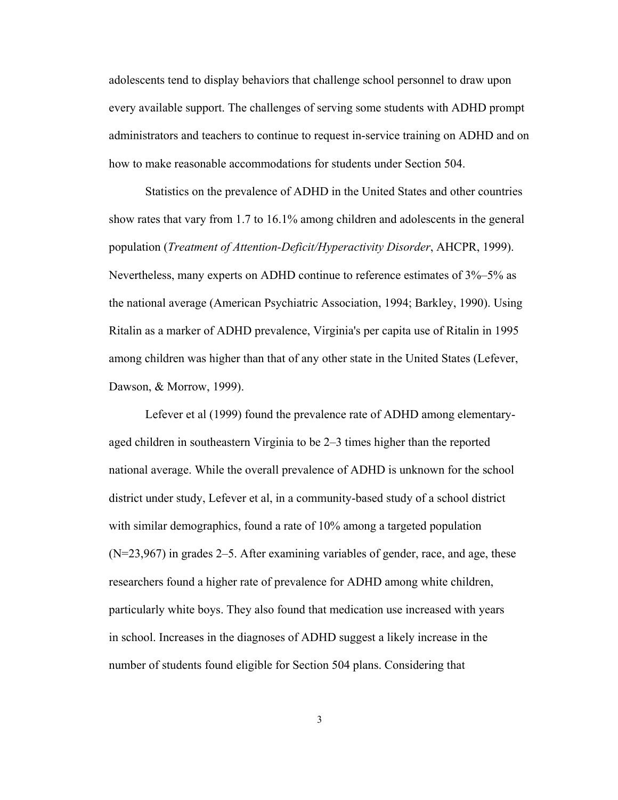adolescents tend to display behaviors that challenge school personnel to draw upon every available support. The challenges of serving some students with ADHD prompt administrators and teachers to continue to request in-service training on ADHD and on how to make reasonable accommodations for students under Section 504.

Statistics on the prevalence of ADHD in the United States and other countries show rates that vary from 1.7 to 16.1% among children and adolescents in the general population (*Treatment of Attention-Deficit/Hyperactivity Disorder*, AHCPR, 1999). Nevertheless, many experts on ADHD continue to reference estimates of 3%–5% as the national average (American Psychiatric Association, 1994; Barkley, 1990). Using Ritalin as a marker of ADHD prevalence, Virginia's per capita use of Ritalin in 1995 among children was higher than that of any other state in the United States (Lefever, Dawson, & Morrow, 1999).

Lefever et al (1999) found the prevalence rate of ADHD among elementaryaged children in southeastern Virginia to be 2–3 times higher than the reported national average. While the overall prevalence of ADHD is unknown for the school district under study, Lefever et al, in a community-based study of a school district with similar demographics, found a rate of 10% among a targeted population (N=23,967) in grades 2–5. After examining variables of gender, race, and age, these researchers found a higher rate of prevalence for ADHD among white children, particularly white boys. They also found that medication use increased with years in school. Increases in the diagnoses of ADHD suggest a likely increase in the number of students found eligible for Section 504 plans. Considering that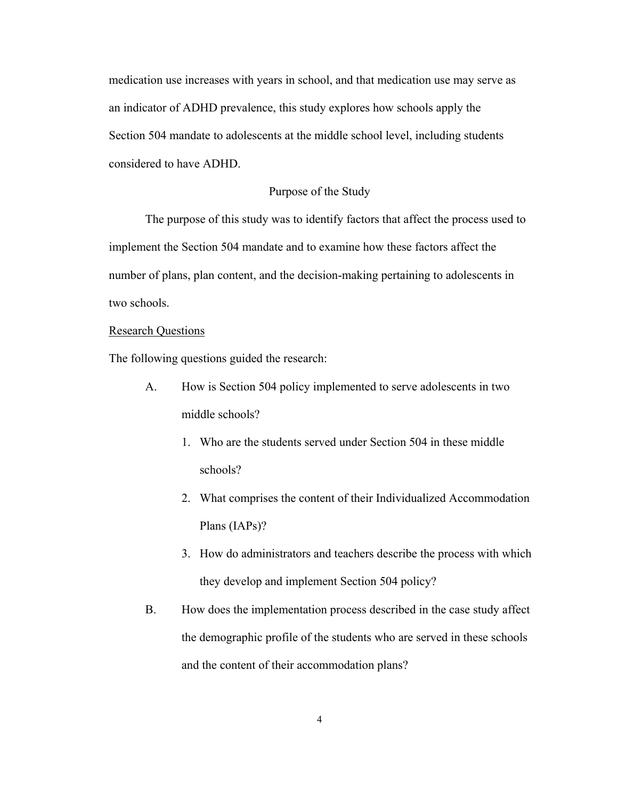medication use increases with years in school, and that medication use may serve as an indicator of ADHD prevalence, this study explores how schools apply the Section 504 mandate to adolescents at the middle school level, including students considered to have ADHD.

### Purpose of the Study

The purpose of this study was to identify factors that affect the process used to implement the Section 504 mandate and to examine how these factors affect the number of plans, plan content, and the decision-making pertaining to adolescents in two schools.

## Research Questions

The following questions guided the research:

- A. How is Section 504 policy implemented to serve adolescents in two middle schools?
	- 1. Who are the students served under Section 504 in these middle schools?
	- 2. What comprises the content of their Individualized Accommodation Plans (IAPs)?
	- 3. How do administrators and teachers describe the process with which they develop and implement Section 504 policy?
- B. How does the implementation process described in the case study affect the demographic profile of the students who are served in these schools and the content of their accommodation plans?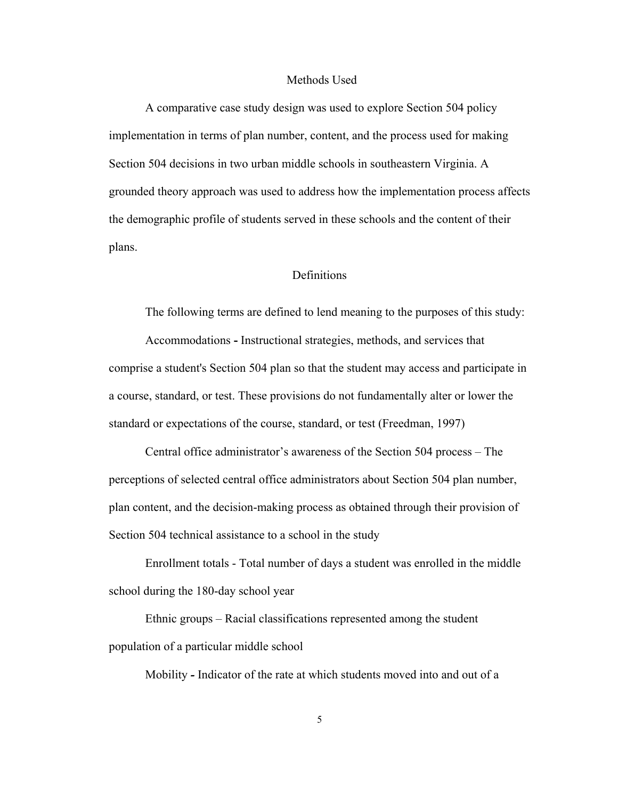#### Methods Used

A comparative case study design was used to explore Section 504 policy implementation in terms of plan number, content, and the process used for making Section 504 decisions in two urban middle schools in southeastern Virginia. A grounded theory approach was used to address how the implementation process affects the demographic profile of students served in these schools and the content of their plans.

## **Definitions**

The following terms are defined to lend meaning to the purposes of this study:

Accommodations **-** Instructional strategies, methods, and services that comprise a student's Section 504 plan so that the student may access and participate in a course, standard, or test. These provisions do not fundamentally alter or lower the standard or expectations of the course, standard, or test (Freedman, 1997)

Central office administrator's awareness of the Section 504 process *–* The perceptions of selected central office administrators about Section 504 plan number, plan content, and the decision-making process as obtained through their provision of Section 504 technical assistance to a school in the study

Enrollment totals - Total number of days a student was enrolled in the middle school during the 180-day school year

 Ethnic groups – Racial classifications represented among the student population of a particular middle school

Mobility *-* Indicator of the rate at which students moved into and out of a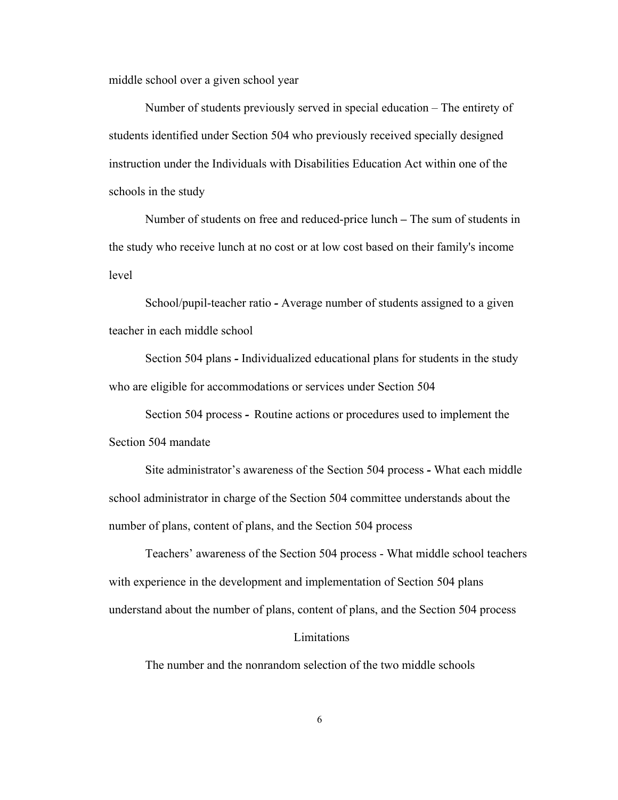middle school over a given school year

Number of students previously served in special education – The entirety of students identified under Section 504 who previously received specially designed instruction under the Individuals with Disabilities Education Act within one of the schools in the study

Number of students on free and reduced-price lunch *–* The sum of students in the study who receive lunch at no cost or at low cost based on their family's income level

School/pupil-teacher ratio *-* Average number of students assigned to a given teacher in each middle school

Section 504 plans *-* Individualized educational plans for students in the study who are eligible for accommodations or services under Section 504

Section 504 process *-* Routine actions or procedures used to implement the Section 504 mandate

Site administrator's awareness of the Section 504 process *-* What each middle school administrator in charge of the Section 504 committee understands about the number of plans, content of plans, and the Section 504 process

Teachers' awareness of the Section 504 process - What middle school teachers with experience in the development and implementation of Section 504 plans understand about the number of plans, content of plans, and the Section 504 process

#### Limitations

The number and the nonrandom selection of the two middle schools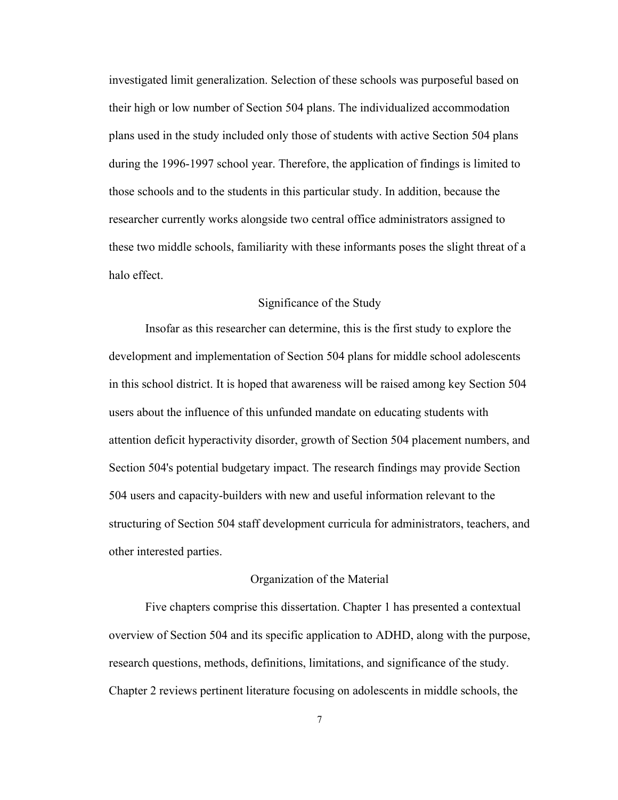investigated limit generalization. Selection of these schools was purposeful based on their high or low number of Section 504 plans. The individualized accommodation plans used in the study included only those of students with active Section 504 plans during the 1996-1997 school year. Therefore, the application of findings is limited to those schools and to the students in this particular study. In addition, because the researcher currently works alongside two central office administrators assigned to these two middle schools, familiarity with these informants poses the slight threat of a halo effect.

# Significance of the Study

Insofar as this researcher can determine, this is the first study to explore the development and implementation of Section 504 plans for middle school adolescents in this school district. It is hoped that awareness will be raised among key Section 504 users about the influence of this unfunded mandate on educating students with attention deficit hyperactivity disorder, growth of Section 504 placement numbers, and Section 504's potential budgetary impact. The research findings may provide Section 504 users and capacity-builders with new and useful information relevant to the structuring of Section 504 staff development curricula for administrators, teachers, and other interested parties.

#### Organization of the Material

Five chapters comprise this dissertation. Chapter 1 has presented a contextual overview of Section 504 and its specific application to ADHD, along with the purpose, research questions, methods, definitions, limitations, and significance of the study. Chapter 2 reviews pertinent literature focusing on adolescents in middle schools, the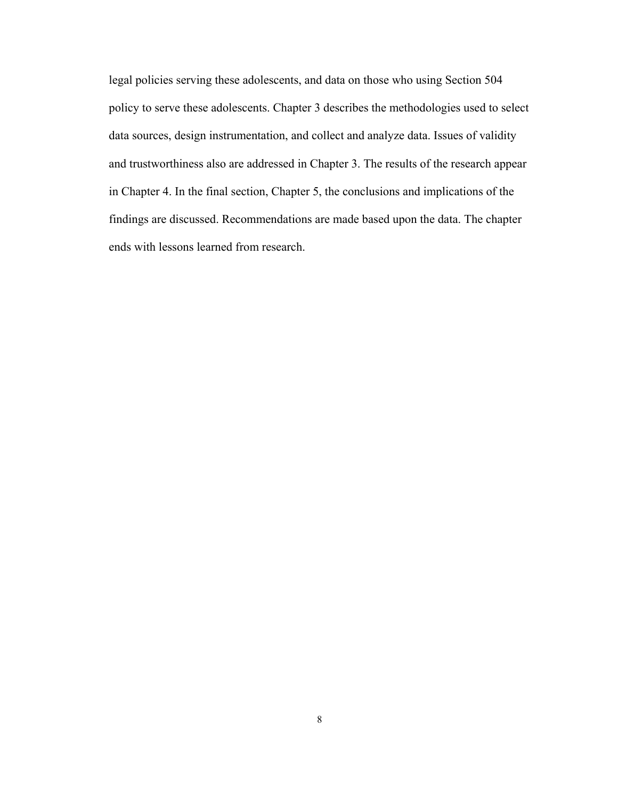legal policies serving these adolescents, and data on those who using Section 504 policy to serve these adolescents. Chapter 3 describes the methodologies used to select data sources, design instrumentation, and collect and analyze data. Issues of validity and trustworthiness also are addressed in Chapter 3. The results of the research appear in Chapter 4. In the final section, Chapter 5, the conclusions and implications of the findings are discussed. Recommendations are made based upon the data. The chapter ends with lessons learned from research.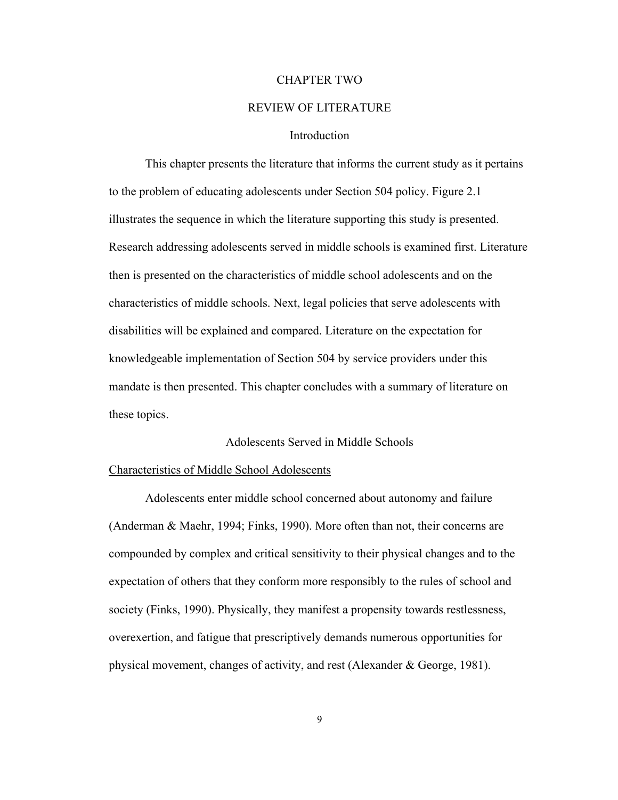#### CHAPTER TWO

## REVIEW OF LITERATURE

#### **Introduction**

This chapter presents the literature that informs the current study as it pertains to the problem of educating adolescents under Section 504 policy. Figure 2.1 illustrates the sequence in which the literature supporting this study is presented. Research addressing adolescents served in middle schools is examined first. Literature then is presented on the characteristics of middle school adolescents and on the characteristics of middle schools. Next, legal policies that serve adolescents with disabilities will be explained and compared. Literature on the expectation for knowledgeable implementation of Section 504 by service providers under this mandate is then presented. This chapter concludes with a summary of literature on these topics.

#### Adolescents Served in Middle Schools

#### Characteristics of Middle School Adolescents

Adolescents enter middle school concerned about autonomy and failure (Anderman & Maehr, 1994; Finks, 1990). More often than not, their concerns are compounded by complex and critical sensitivity to their physical changes and to the expectation of others that they conform more responsibly to the rules of school and society (Finks, 1990). Physically, they manifest a propensity towards restlessness, overexertion, and fatigue that prescriptively demands numerous opportunities for physical movement, changes of activity, and rest (Alexander & George, 1981).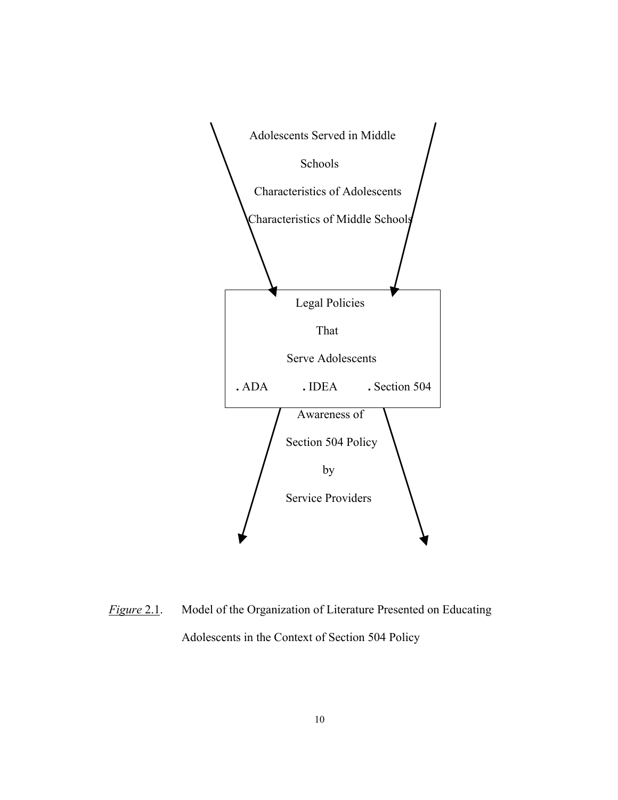

*Figure* 2.1. Model of the Organization of Literature Presented on Educating Adolescents in the Context of Section 504 Policy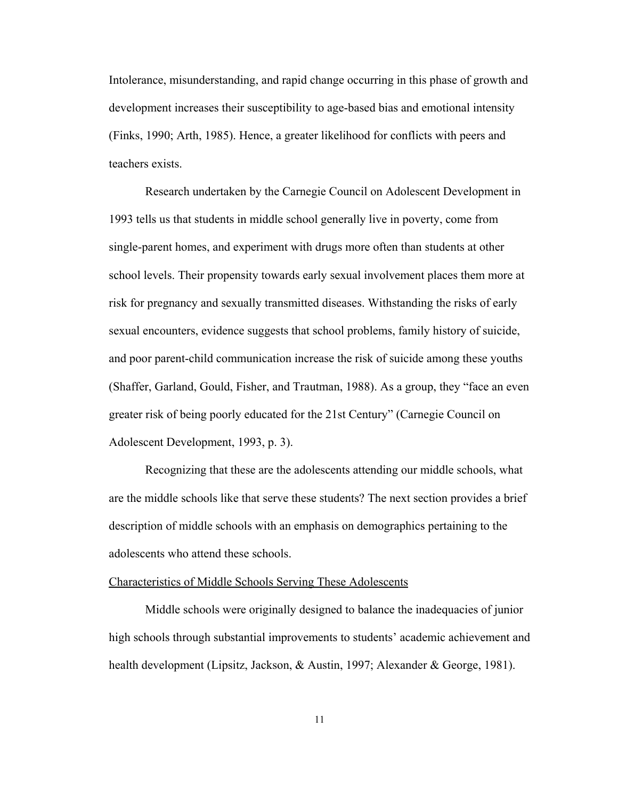Intolerance, misunderstanding, and rapid change occurring in this phase of growth and development increases their susceptibility to age-based bias and emotional intensity (Finks, 1990; Arth, 1985). Hence, a greater likelihood for conflicts with peers and teachers exists.

Research undertaken by the Carnegie Council on Adolescent Development in 1993 tells us that students in middle school generally live in poverty, come from single-parent homes, and experiment with drugs more often than students at other school levels. Their propensity towards early sexual involvement places them more at risk for pregnancy and sexually transmitted diseases. Withstanding the risks of early sexual encounters, evidence suggests that school problems, family history of suicide, and poor parent-child communication increase the risk of suicide among these youths (Shaffer, Garland, Gould, Fisher, and Trautman, 1988). As a group, they "face an even greater risk of being poorly educated for the 21st Century" (Carnegie Council on Adolescent Development, 1993, p. 3).

Recognizing that these are the adolescents attending our middle schools, what are the middle schools like that serve these students? The next section provides a brief description of middle schools with an emphasis on demographics pertaining to the adolescents who attend these schools.

#### Characteristics of Middle Schools Serving These Adolescents

Middle schools were originally designed to balance the inadequacies of junior high schools through substantial improvements to students' academic achievement and health development (Lipsitz, Jackson, & Austin, 1997; Alexander & George, 1981).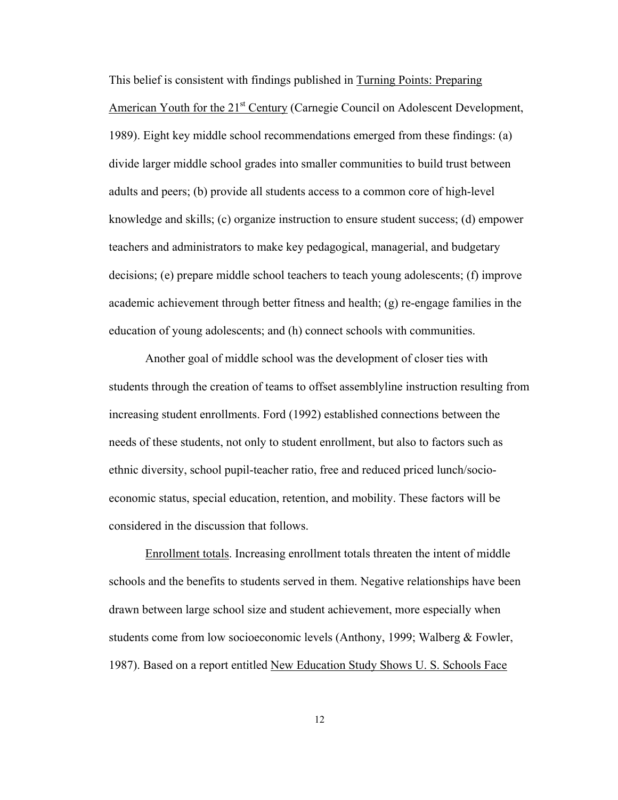This belief is consistent with findings published in Turning Points: Preparing American Youth for the 21<sup>st</sup> Century (Carnegie Council on Adolescent Development, 1989). Eight key middle school recommendations emerged from these findings: (a) divide larger middle school grades into smaller communities to build trust between adults and peers; (b) provide all students access to a common core of high-level knowledge and skills; (c) organize instruction to ensure student success; (d) empower teachers and administrators to make key pedagogical, managerial, and budgetary decisions; (e) prepare middle school teachers to teach young adolescents; (f) improve academic achievement through better fitness and health; (g) re-engage families in the education of young adolescents; and (h) connect schools with communities.

Another goal of middle school was the development of closer ties with students through the creation of teams to offset assemblyline instruction resulting from increasing student enrollments. Ford (1992) established connections between the needs of these students, not only to student enrollment, but also to factors such as ethnic diversity, school pupil-teacher ratio, free and reduced priced lunch/socioeconomic status, special education, retention, and mobility. These factors will be considered in the discussion that follows.

Enrollment totals. Increasing enrollment totals threaten the intent of middle schools and the benefits to students served in them. Negative relationships have been drawn between large school size and student achievement, more especially when students come from low socioeconomic levels (Anthony, 1999; Walberg & Fowler, 1987). Based on a report entitled New Education Study Shows U. S. Schools Face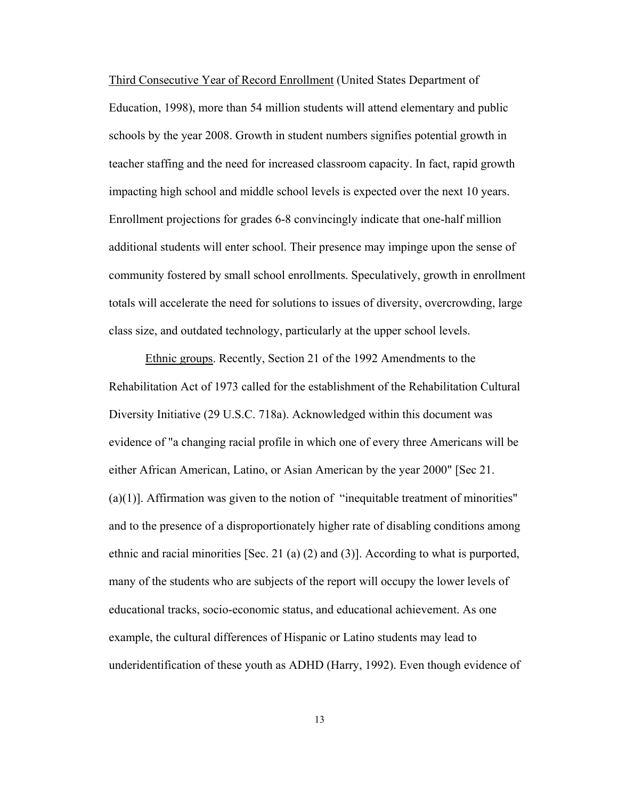Third Consecutive Year of Record Enrollment (United States Department of Education, 1998), more than 54 million students will attend elementary and public schools by the year 2008. Growth in student numbers signifies potential growth in teacher staffing and the need for increased classroom capacity. In fact, rapid growth impacting high school and middle school levels is expected over the next 10 years. Enrollment projections for grades 6-8 convincingly indicate that one-half million additional students will enter school. Their presence may impinge upon the sense of community fostered by small school enrollments. Speculatively, growth in enrollment totals will accelerate the need for solutions to issues of diversity, overcrowding, large class size, and outdated technology, particularly at the upper school levels.

 Ethnic groups. Recently, Section 21 of the 1992 Amendments to the Rehabilitation Act of 1973 called for the establishment of the Rehabilitation Cultural Diversity Initiative (29 U.S.C. 718a). Acknowledged within this document was evidence of "a changing racial profile in which one of every three Americans will be either African American, Latino, or Asian American by the year 2000" [Sec 21.  $(a)(1)$ ]. Affirmation was given to the notion of "inequitable treatment of minorities" and to the presence of a disproportionately higher rate of disabling conditions among ethnic and racial minorities [Sec. 21 (a) (2) and (3)]. According to what is purported, many of the students who are subjects of the report will occupy the lower levels of educational tracks, socio-economic status, and educational achievement. As one example, the cultural differences of Hispanic or Latino students may lead to underidentification of these youth as ADHD (Harry, 1992). Even though evidence of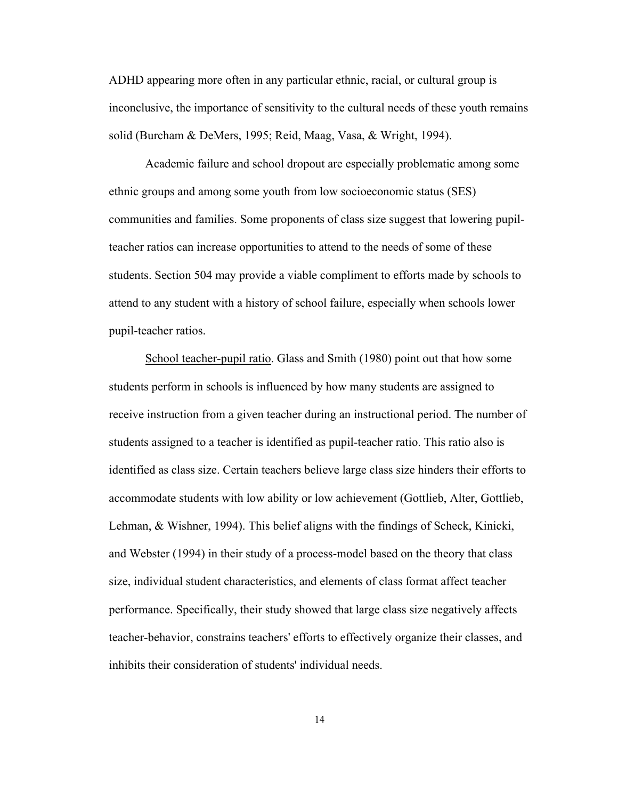ADHD appearing more often in any particular ethnic, racial, or cultural group is inconclusive, the importance of sensitivity to the cultural needs of these youth remains solid (Burcham & DeMers, 1995; Reid, Maag, Vasa, & Wright, 1994).

Academic failure and school dropout are especially problematic among some ethnic groups and among some youth from low socioeconomic status (SES) communities and families. Some proponents of class size suggest that lowering pupilteacher ratios can increase opportunities to attend to the needs of some of these students. Section 504 may provide a viable compliment to efforts made by schools to attend to any student with a history of school failure, especially when schools lower pupil-teacher ratios.

School teacher-pupil ratio. Glass and Smith (1980) point out that how some students perform in schools is influenced by how many students are assigned to receive instruction from a given teacher during an instructional period. The number of students assigned to a teacher is identified as pupil-teacher ratio. This ratio also is identified as class size. Certain teachers believe large class size hinders their efforts to accommodate students with low ability or low achievement (Gottlieb, Alter, Gottlieb, Lehman, & Wishner, 1994). This belief aligns with the findings of Scheck, Kinicki, and Webster (1994) in their study of a process-model based on the theory that class size, individual student characteristics, and elements of class format affect teacher performance. Specifically, their study showed that large class size negatively affects teacher-behavior, constrains teachers' efforts to effectively organize their classes, and inhibits their consideration of students' individual needs.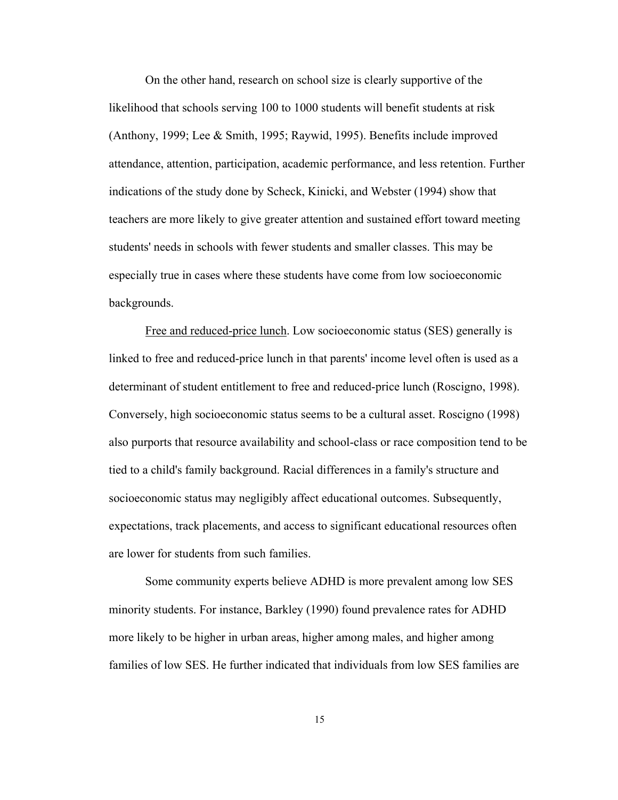On the other hand, research on school size is clearly supportive of the likelihood that schools serving 100 to 1000 students will benefit students at risk (Anthony, 1999; Lee & Smith, 1995; Raywid, 1995). Benefits include improved attendance, attention, participation, academic performance, and less retention. Further indications of the study done by Scheck, Kinicki, and Webster (1994) show that teachers are more likely to give greater attention and sustained effort toward meeting students' needs in schools with fewer students and smaller classes. This may be especially true in cases where these students have come from low socioeconomic backgrounds.

Free and reduced-price lunch. Low socioeconomic status (SES) generally is linked to free and reduced-price lunch in that parents' income level often is used as a determinant of student entitlement to free and reduced-price lunch (Roscigno, 1998). Conversely, high socioeconomic status seems to be a cultural asset. Roscigno (1998) also purports that resource availability and school-class or race composition tend to be tied to a child's family background. Racial differences in a family's structure and socioeconomic status may negligibly affect educational outcomes. Subsequently, expectations, track placements, and access to significant educational resources often are lower for students from such families.

Some community experts believe ADHD is more prevalent among low SES minority students. For instance, Barkley (1990) found prevalence rates for ADHD more likely to be higher in urban areas, higher among males, and higher among families of low SES. He further indicated that individuals from low SES families are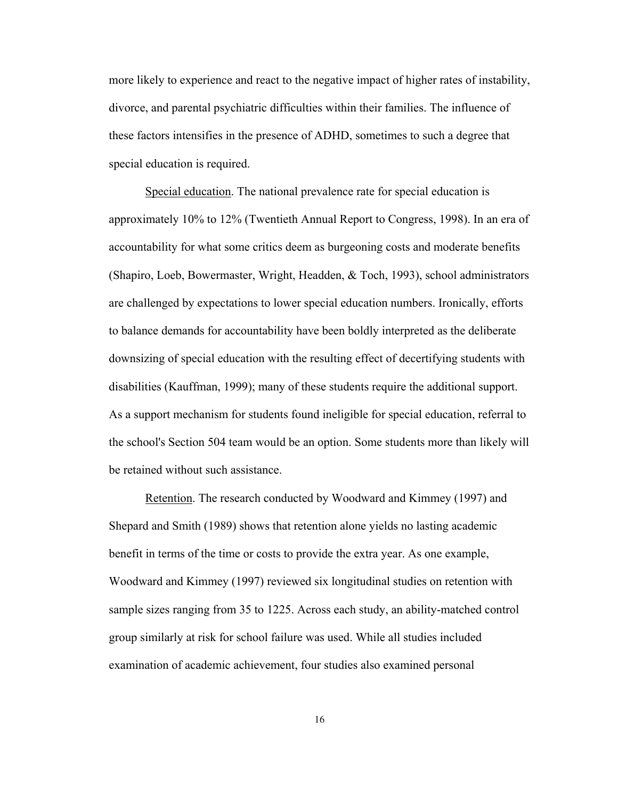more likely to experience and react to the negative impact of higher rates of instability, divorce, and parental psychiatric difficulties within their families. The influence of these factors intensifies in the presence of ADHD, sometimes to such a degree that special education is required.

 Special education. The national prevalence rate for special education is approximately 10% to 12% (Twentieth Annual Report to Congress, 1998). In an era of accountability for what some critics deem as burgeoning costs and moderate benefits (Shapiro, Loeb, Bowermaster, Wright, Headden, & Toch, 1993), school administrators are challenged by expectations to lower special education numbers. Ironically, efforts to balance demands for accountability have been boldly interpreted as the deliberate downsizing of special education with the resulting effect of decertifying students with disabilities (Kauffman, 1999); many of these students require the additional support. As a support mechanism for students found ineligible for special education, referral to the school's Section 504 team would be an option. Some students more than likely will be retained without such assistance.

 Retention. The research conducted by Woodward and Kimmey (1997) and Shepard and Smith (1989) shows that retention alone yields no lasting academic benefit in terms of the time or costs to provide the extra year. As one example, Woodward and Kimmey (1997) reviewed six longitudinal studies on retention with sample sizes ranging from 35 to 1225. Across each study, an ability-matched control group similarly at risk for school failure was used. While all studies included examination of academic achievement, four studies also examined personal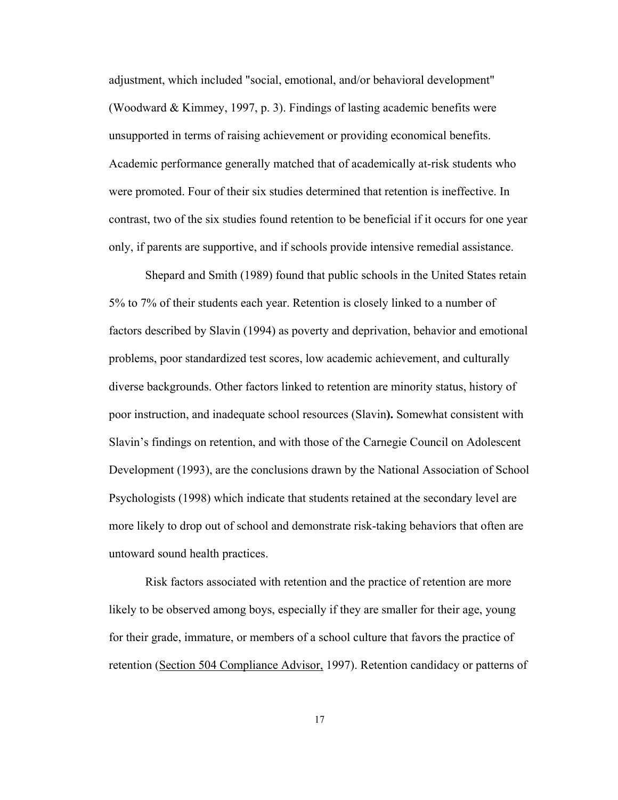adjustment, which included "social, emotional, and/or behavioral development" (Woodward & Kimmey, 1997, p. 3). Findings of lasting academic benefits were unsupported in terms of raising achievement or providing economical benefits. Academic performance generally matched that of academically at-risk students who were promoted. Four of their six studies determined that retention is ineffective. In contrast, two of the six studies found retention to be beneficial if it occurs for one year only, if parents are supportive, and if schools provide intensive remedial assistance.

Shepard and Smith (1989) found that public schools in the United States retain 5% to 7% of their students each year. Retention is closely linked to a number of factors described by Slavin (1994) as poverty and deprivation, behavior and emotional problems, poor standardized test scores, low academic achievement, and culturally diverse backgrounds. Other factors linked to retention are minority status, history of poor instruction, and inadequate school resources (Slavin**).** Somewhat consistent with Slavin's findings on retention, and with those of the Carnegie Council on Adolescent Development (1993), are the conclusions drawn by the National Association of School Psychologists (1998) which indicate that students retained at the secondary level are more likely to drop out of school and demonstrate risk-taking behaviors that often are untoward sound health practices.

Risk factors associated with retention and the practice of retention are more likely to be observed among boys, especially if they are smaller for their age, young for their grade, immature, or members of a school culture that favors the practice of retention (Section 504 Compliance Advisor, 1997). Retention candidacy or patterns of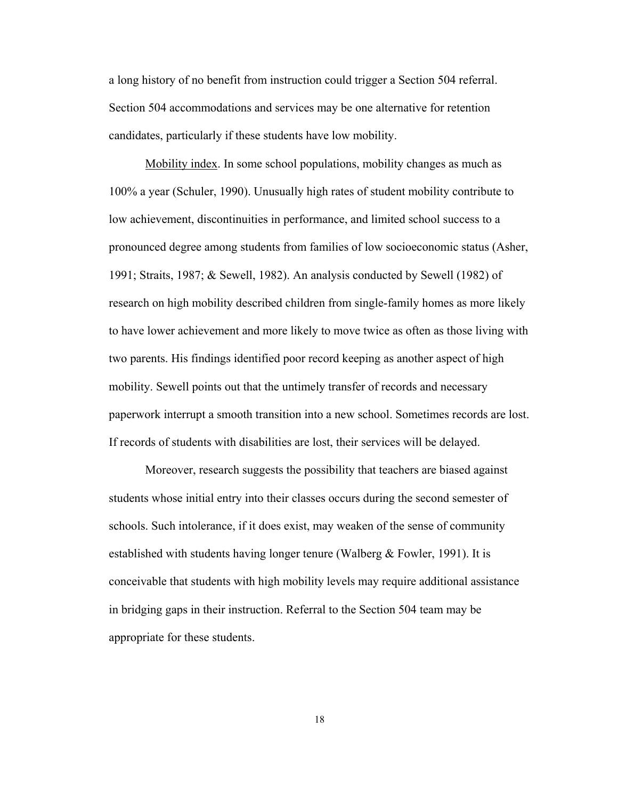a long history of no benefit from instruction could trigger a Section 504 referral. Section 504 accommodations and services may be one alternative for retention candidates, particularly if these students have low mobility.

 Mobility index. In some school populations, mobility changes as much as 100% a year (Schuler, 1990). Unusually high rates of student mobility contribute to low achievement, discontinuities in performance, and limited school success to a pronounced degree among students from families of low socioeconomic status (Asher, 1991; Straits, 1987; & Sewell, 1982). An analysis conducted by Sewell (1982) of research on high mobility described children from single-family homes as more likely to have lower achievement and more likely to move twice as often as those living with two parents. His findings identified poor record keeping as another aspect of high mobility. Sewell points out that the untimely transfer of records and necessary paperwork interrupt a smooth transition into a new school. Sometimes records are lost. If records of students with disabilities are lost, their services will be delayed.

Moreover, research suggests the possibility that teachers are biased against students whose initial entry into their classes occurs during the second semester of schools. Such intolerance, if it does exist, may weaken of the sense of community established with students having longer tenure (Walberg & Fowler, 1991). It is conceivable that students with high mobility levels may require additional assistance in bridging gaps in their instruction. Referral to the Section 504 team may be appropriate for these students.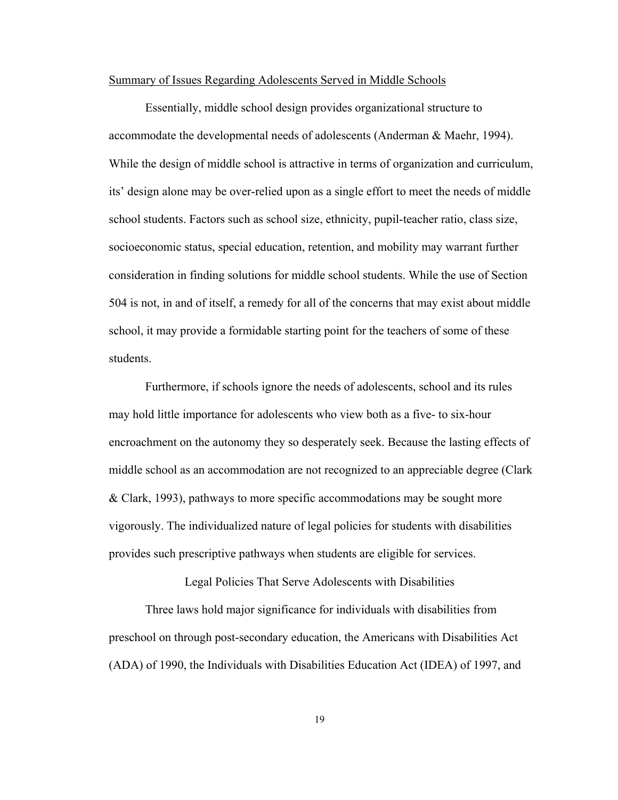#### Summary of Issues Regarding Adolescents Served in Middle Schools

Essentially, middle school design provides organizational structure to accommodate the developmental needs of adolescents (Anderman & Maehr, 1994). While the design of middle school is attractive in terms of organization and curriculum, its' design alone may be over-relied upon as a single effort to meet the needs of middle school students. Factors such as school size, ethnicity, pupil-teacher ratio, class size, socioeconomic status, special education, retention, and mobility may warrant further consideration in finding solutions for middle school students. While the use of Section 504 is not, in and of itself, a remedy for all of the concerns that may exist about middle school, it may provide a formidable starting point for the teachers of some of these students.

Furthermore, if schools ignore the needs of adolescents, school and its rules may hold little importance for adolescents who view both as a five- to six-hour encroachment on the autonomy they so desperately seek. Because the lasting effects of middle school as an accommodation are not recognized to an appreciable degree (Clark & Clark, 1993), pathways to more specific accommodations may be sought more vigorously. The individualized nature of legal policies for students with disabilities provides such prescriptive pathways when students are eligible for services.

Legal Policies That Serve Adolescents with Disabilities

Three laws hold major significance for individuals with disabilities from preschool on through post-secondary education, the Americans with Disabilities Act (ADA) of 1990, the Individuals with Disabilities Education Act (IDEA) of 1997, and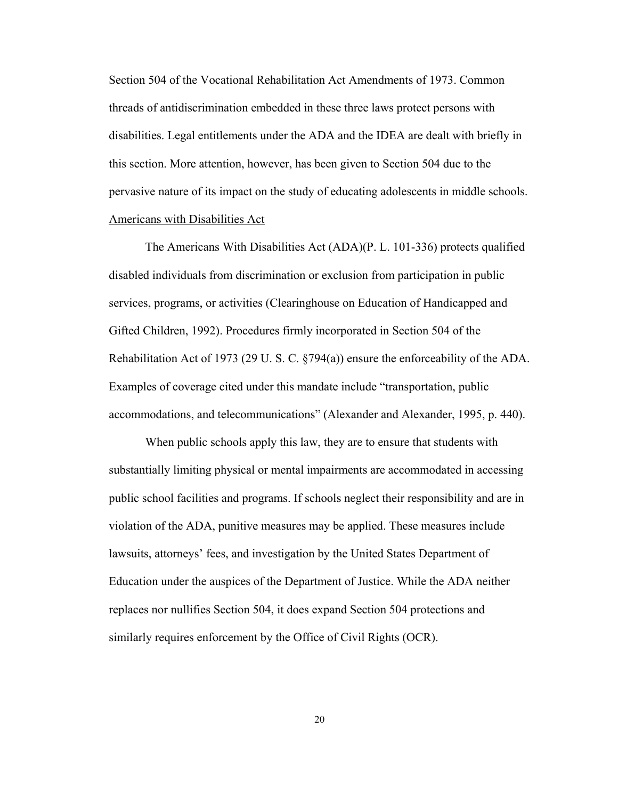Section 504 of the Vocational Rehabilitation Act Amendments of 1973. Common threads of antidiscrimination embedded in these three laws protect persons with disabilities. Legal entitlements under the ADA and the IDEA are dealt with briefly in this section. More attention, however, has been given to Section 504 due to the pervasive nature of its impact on the study of educating adolescents in middle schools. Americans with Disabilities Act

The Americans With Disabilities Act (ADA)(P. L. 101-336) protects qualified disabled individuals from discrimination or exclusion from participation in public services, programs, or activities (Clearinghouse on Education of Handicapped and Gifted Children, 1992). Procedures firmly incorporated in Section 504 of the Rehabilitation Act of 1973 (29 U. S. C. §794(a)) ensure the enforceability of the ADA. Examples of coverage cited under this mandate include "transportation, public accommodations, and telecommunications" (Alexander and Alexander, 1995, p. 440).

When public schools apply this law, they are to ensure that students with substantially limiting physical or mental impairments are accommodated in accessing public school facilities and programs. If schools neglect their responsibility and are in violation of the ADA, punitive measures may be applied. These measures include lawsuits, attorneys' fees, and investigation by the United States Department of Education under the auspices of the Department of Justice. While the ADA neither replaces nor nullifies Section 504, it does expand Section 504 protections and similarly requires enforcement by the Office of Civil Rights (OCR).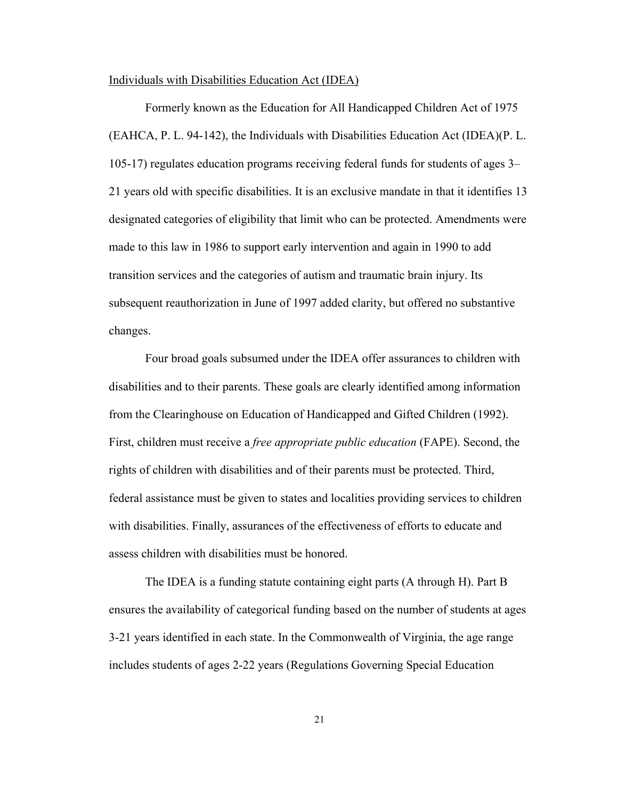#### Individuals with Disabilities Education Act (IDEA)

Formerly known as the Education for All Handicapped Children Act of 1975 (EAHCA, P. L. 94-142), the Individuals with Disabilities Education Act (IDEA)(P. L. 105-17) regulates education programs receiving federal funds for students of ages 3– 21 years old with specific disabilities. It is an exclusive mandate in that it identifies 13 designated categories of eligibility that limit who can be protected. Amendments were made to this law in 1986 to support early intervention and again in 1990 to add transition services and the categories of autism and traumatic brain injury. Its subsequent reauthorization in June of 1997 added clarity, but offered no substantive changes.

Four broad goals subsumed under the IDEA offer assurances to children with disabilities and to their parents. These goals are clearly identified among information from the Clearinghouse on Education of Handicapped and Gifted Children (1992). First, children must receive a *free appropriate public education* (FAPE). Second, the rights of children with disabilities and of their parents must be protected. Third, federal assistance must be given to states and localities providing services to children with disabilities. Finally, assurances of the effectiveness of efforts to educate and assess children with disabilities must be honored.

The IDEA is a funding statute containing eight parts (A through H). Part B ensures the availability of categorical funding based on the number of students at ages 3-21 years identified in each state. In the Commonwealth of Virginia, the age range includes students of ages 2-22 years (Regulations Governing Special Education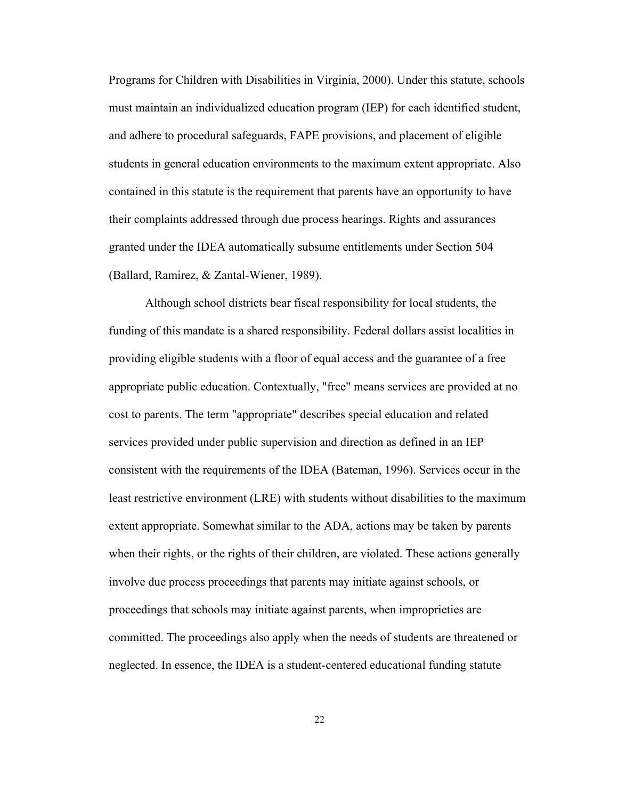Programs for Children with Disabilities in Virginia, 2000). Under this statute, schools must maintain an individualized education program (IEP) for each identified student, and adhere to procedural safeguards, FAPE provisions, and placement of eligible students in general education environments to the maximum extent appropriate. Also contained in this statute is the requirement that parents have an opportunity to have their complaints addressed through due process hearings. Rights and assurances granted under the IDEA automatically subsume entitlements under Section 504 (Ballard, Ramirez, & Zantal-Wiener, 1989).

Although school districts bear fiscal responsibility for local students, the funding of this mandate is a shared responsibility. Federal dollars assist localities in providing eligible students with a floor of equal access and the guarantee of a free appropriate public education. Contextually, "free" means services are provided at no cost to parents. The term "appropriate" describes special education and related services provided under public supervision and direction as defined in an IEP consistent with the requirements of the IDEA (Bateman, 1996). Services occur in the least restrictive environment (LRE) with students without disabilities to the maximum extent appropriate. Somewhat similar to the ADA, actions may be taken by parents when their rights, or the rights of their children, are violated. These actions generally involve due process proceedings that parents may initiate against schools, or proceedings that schools may initiate against parents, when improprieties are committed. The proceedings also apply when the needs of students are threatened or neglected. In essence, the IDEA is a student-centered educational funding statute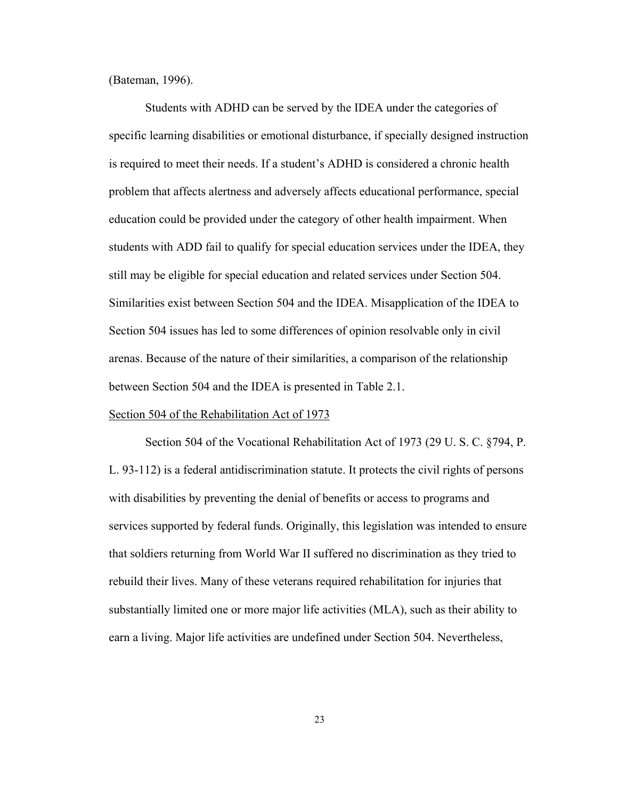(Bateman, 1996).

Students with ADHD can be served by the IDEA under the categories of specific learning disabilities or emotional disturbance, if specially designed instruction is required to meet their needs. If a student's ADHD is considered a chronic health problem that affects alertness and adversely affects educational performance, special education could be provided under the category of other health impairment. When students with ADD fail to qualify for special education services under the IDEA, they still may be eligible for special education and related services under Section 504. Similarities exist between Section 504 and the IDEA. Misapplication of the IDEA to Section 504 issues has led to some differences of opinion resolvable only in civil arenas. Because of the nature of their similarities, a comparison of the relationship between Section 504 and the IDEA is presented in Table 2.1.

#### Section 504 of the Rehabilitation Act of 1973

Section 504 of the Vocational Rehabilitation Act of 1973 (29 U. S. C. §794, P. L. 93-112) is a federal antidiscrimination statute. It protects the civil rights of persons with disabilities by preventing the denial of benefits or access to programs and services supported by federal funds. Originally, this legislation was intended to ensure that soldiers returning from World War II suffered no discrimination as they tried to rebuild their lives. Many of these veterans required rehabilitation for injuries that substantially limited one or more major life activities (MLA), such as their ability to earn a living. Major life activities are undefined under Section 504. Nevertheless,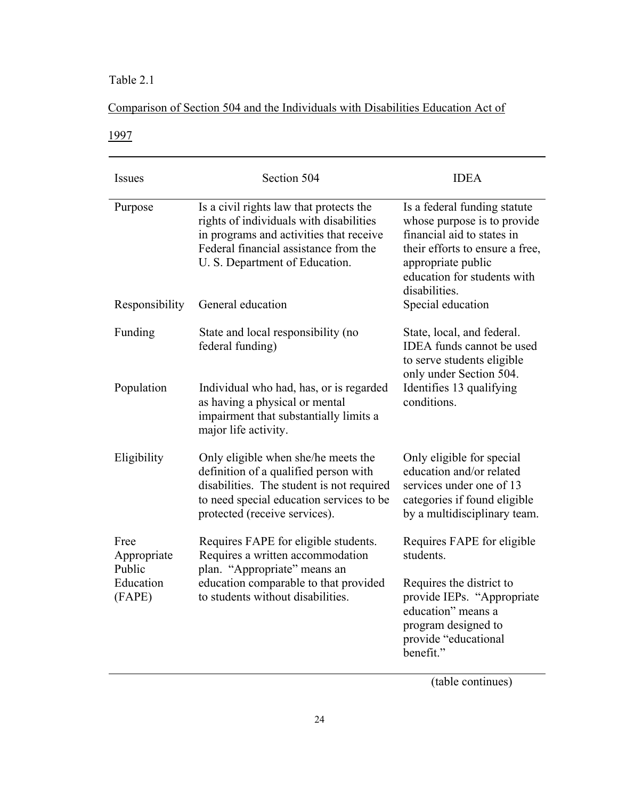# Table 2.1

# Comparison of Section 504 and the Individuals with Disabilities Education Act of

1997

| Issues                        | Section 504                                                                                                                                                                                              | <b>IDEA</b>                                                                                                                                                                                        |  |
|-------------------------------|----------------------------------------------------------------------------------------------------------------------------------------------------------------------------------------------------------|----------------------------------------------------------------------------------------------------------------------------------------------------------------------------------------------------|--|
| Purpose                       | Is a civil rights law that protects the<br>rights of individuals with disabilities<br>in programs and activities that receive<br>Federal financial assistance from the<br>U. S. Department of Education. | Is a federal funding statute<br>whose purpose is to provide<br>financial aid to states in<br>their efforts to ensure a free,<br>appropriate public<br>education for students with<br>disabilities. |  |
| Responsibility                | General education                                                                                                                                                                                        | Special education                                                                                                                                                                                  |  |
| Funding                       | State and local responsibility (no<br>federal funding)                                                                                                                                                   | State, local, and federal.<br><b>IDEA</b> funds cannot be used<br>to serve students eligible<br>only under Section 504.<br>Identifies 13 qualifying<br>conditions.                                 |  |
| Population                    | Individual who had, has, or is regarded<br>as having a physical or mental<br>impairment that substantially limits a<br>major life activity.                                                              |                                                                                                                                                                                                    |  |
| Eligibility                   | Only eligible when she/he meets the<br>definition of a qualified person with<br>disabilities. The student is not required<br>to need special education services to be<br>protected (receive services).   | Only eligible for special<br>education and/or related<br>services under one of 13<br>categories if found eligible<br>by a multidisciplinary team.                                                  |  |
| Free<br>Appropriate<br>Public | Requires FAPE for eligible students.<br>Requires a written accommodation<br>plan. "Appropriate" means an<br>education comparable to that provided<br>to students without disabilities.                   | Requires FAPE for eligible<br>students.                                                                                                                                                            |  |
| Education<br>(FAPE)           |                                                                                                                                                                                                          | Requires the district to<br>provide IEPs. "Appropriate<br>education" means a<br>program designed to<br>provide "educational<br>benefit."                                                           |  |

(table continues)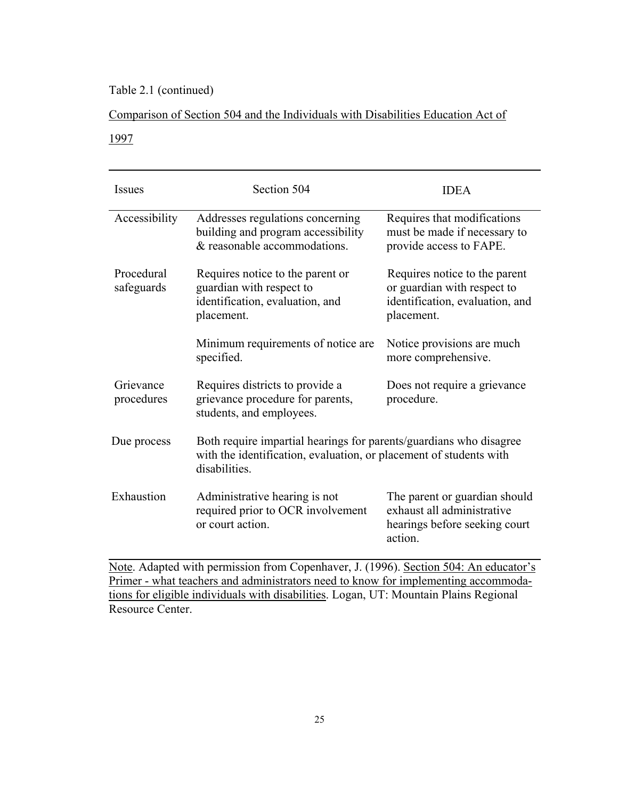# Table 2.1 (continued)

# Comparison of Section 504 and the Individuals with Disabilities Education Act of

# 1997

| <b>Issues</b>            | Section 504                                                                                                                                               | <b>IDEA</b>                                                                                                   |  |
|--------------------------|-----------------------------------------------------------------------------------------------------------------------------------------------------------|---------------------------------------------------------------------------------------------------------------|--|
| Accessibility            | Addresses regulations concerning<br>building and program accessibility<br>& reasonable accommodations.                                                    | Requires that modifications<br>must be made if necessary to<br>provide access to FAPE.                        |  |
| Procedural<br>safeguards | Requires notice to the parent or<br>guardian with respect to<br>identification, evaluation, and<br>placement.                                             | Requires notice to the parent<br>or guardian with respect to<br>identification, evaluation, and<br>placement. |  |
|                          | Minimum requirements of notice are.<br>specified.                                                                                                         | Notice provisions are much<br>more comprehensive.                                                             |  |
| Grievance<br>procedures  | Requires districts to provide a<br>grievance procedure for parents,<br>students, and employees.                                                           | Does not require a grievance<br>procedure.                                                                    |  |
| Due process              | Both require impartial hearings for parents/guardians who disagree<br>with the identification, evaluation, or placement of students with<br>disabilities. |                                                                                                               |  |
| Exhaustion               | Administrative hearing is not<br>required prior to OCR involvement<br>or court action.                                                                    | The parent or guardian should<br>exhaust all administrative<br>hearings before seeking court<br>action.       |  |

Note. Adapted with permission from Copenhaver, J. (1996). Section 504: An educator's Primer - what teachers and administrators need to know for implementing accommodations for eligible individuals with disabilities. Logan, UT: Mountain Plains Regional Resource Center.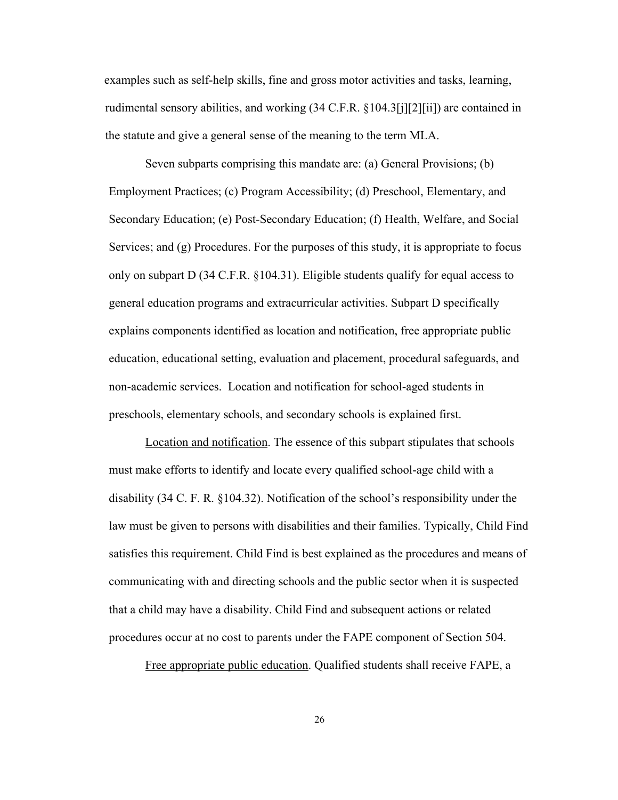examples such as self-help skills, fine and gross motor activities and tasks, learning, rudimental sensory abilities, and working (34 C.F.R. §104.3[j][2][ii]) are contained in the statute and give a general sense of the meaning to the term MLA.

Seven subparts comprising this mandate are: (a) General Provisions; (b) Employment Practices; (c) Program Accessibility; (d) Preschool, Elementary, and Secondary Education; (e) Post-Secondary Education; (f) Health, Welfare, and Social Services; and (g) Procedures. For the purposes of this study, it is appropriate to focus only on subpart D (34 C.F.R. §104.31). Eligible students qualify for equal access to general education programs and extracurricular activities. Subpart D specifically explains components identified as location and notification, free appropriate public education, educational setting, evaluation and placement, procedural safeguards, and non-academic services. Location and notification for school-aged students in preschools, elementary schools, and secondary schools is explained first.

Location and notification. The essence of this subpart stipulates that schools must make efforts to identify and locate every qualified school-age child with a disability (34 C. F. R. §104.32). Notification of the school's responsibility under the law must be given to persons with disabilities and their families. Typically, Child Find satisfies this requirement. Child Find is best explained as the procedures and means of communicating with and directing schools and the public sector when it is suspected that a child may have a disability. Child Find and subsequent actions or related procedures occur at no cost to parents under the FAPE component of Section 504.

Free appropriate public education. Qualified students shall receive FAPE, a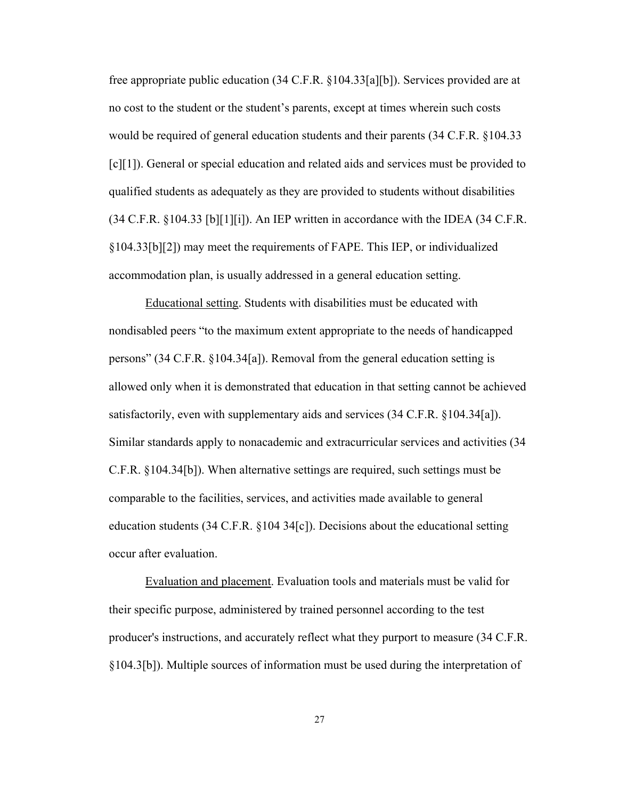free appropriate public education (34 C.F.R. §104.33[a][b]). Services provided are at no cost to the student or the student's parents, except at times wherein such costs would be required of general education students and their parents (34 C.F.R. §104.33 [c][1]). General or special education and related aids and services must be provided to qualified students as adequately as they are provided to students without disabilities  $(34 \text{ C.F.R. } \S 104.33 \text{ [b][1][i]}).$  An IEP written in accordance with the IDEA (34 C.F.R. §104.33[b][2]) may meet the requirements of FAPE. This IEP, or individualized accommodation plan, is usually addressed in a general education setting.

 Educational setting. Students with disabilities must be educated with nondisabled peers "to the maximum extent appropriate to the needs of handicapped persons" (34 C.F.R. §104.34[a]). Removal from the general education setting is allowed only when it is demonstrated that education in that setting cannot be achieved satisfactorily, even with supplementary aids and services (34 C.F.R. §104.34[a]). Similar standards apply to nonacademic and extracurricular services and activities (34 C.F.R. §104.34[b]). When alternative settings are required, such settings must be comparable to the facilities, services, and activities made available to general education students (34 C.F.R. §104 34[c]). Decisions about the educational setting occur after evaluation.

Evaluation and placement. Evaluation tools and materials must be valid for their specific purpose, administered by trained personnel according to the test producer's instructions, and accurately reflect what they purport to measure (34 C.F.R. §104.3[b]). Multiple sources of information must be used during the interpretation of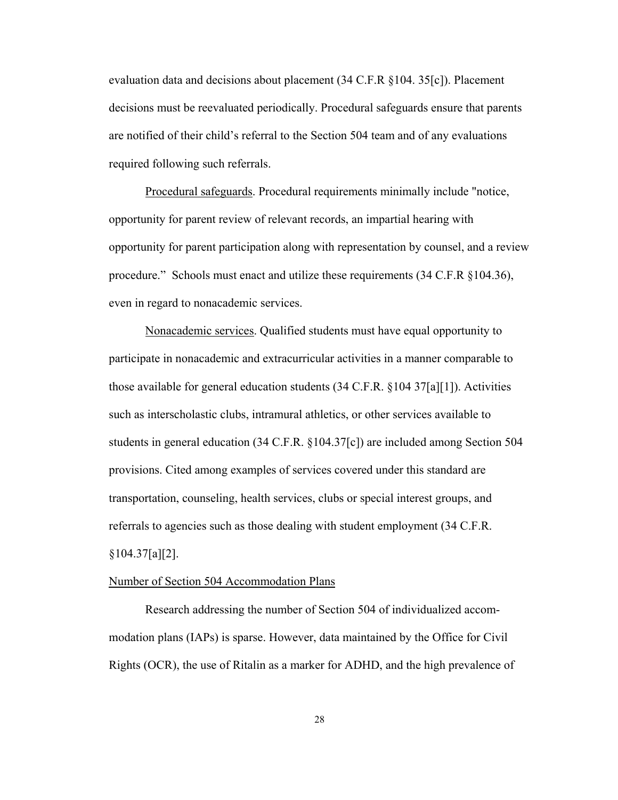evaluation data and decisions about placement (34 C.F.R §104. 35[c]). Placement decisions must be reevaluated periodically. Procedural safeguards ensure that parents are notified of their child's referral to the Section 504 team and of any evaluations required following such referrals.

 Procedural safeguards. Procedural requirements minimally include "notice, opportunity for parent review of relevant records, an impartial hearing with opportunity for parent participation along with representation by counsel, and a review procedure." Schools must enact and utilize these requirements (34 C.F.R §104.36), even in regard to nonacademic services.

 Nonacademic services. Qualified students must have equal opportunity to participate in nonacademic and extracurricular activities in a manner comparable to those available for general education students  $(34 \text{ C.F.R. } §104 \text{ } 37\text{a}][1]$ ). Activities such as interscholastic clubs, intramural athletics, or other services available to students in general education (34 C.F.R. §104.37[c]) are included among Section 504 provisions. Cited among examples of services covered under this standard are transportation, counseling, health services, clubs or special interest groups, and referrals to agencies such as those dealing with student employment (34 C.F.R.  $§104.37[a][2]$ .

#### Number of Section 504 Accommodation Plans

Research addressing the number of Section 504 of individualized accommodation plans (IAPs) is sparse. However, data maintained by the Office for Civil Rights (OCR), the use of Ritalin as a marker for ADHD, and the high prevalence of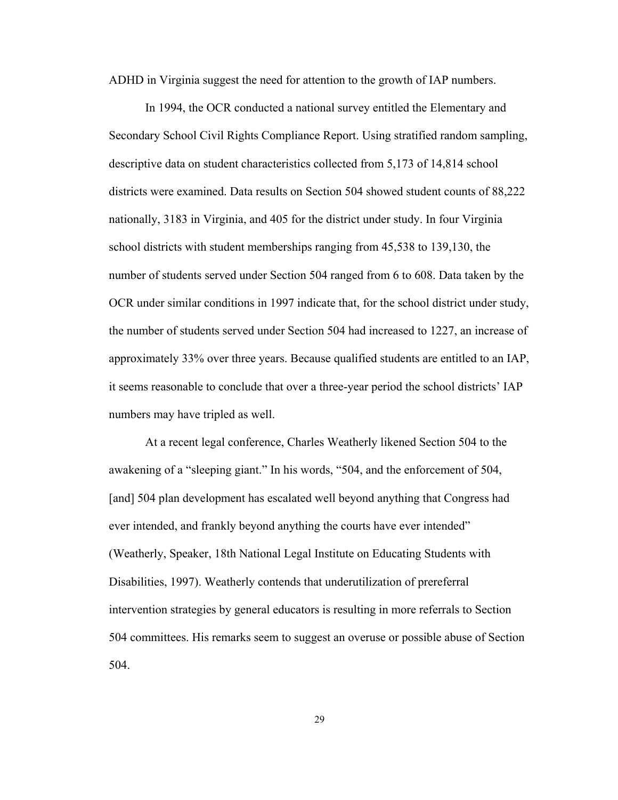ADHD in Virginia suggest the need for attention to the growth of IAP numbers.

In 1994, the OCR conducted a national survey entitled the Elementary and Secondary School Civil Rights Compliance Report. Using stratified random sampling, descriptive data on student characteristics collected from 5,173 of 14,814 school districts were examined. Data results on Section 504 showed student counts of 88,222 nationally, 3183 in Virginia, and 405 for the district under study. In four Virginia school districts with student memberships ranging from 45,538 to 139,130, the number of students served under Section 504 ranged from 6 to 608. Data taken by the OCR under similar conditions in 1997 indicate that, for the school district under study, the number of students served under Section 504 had increased to 1227, an increase of approximately 33% over three years. Because qualified students are entitled to an IAP, it seems reasonable to conclude that over a three-year period the school districts' IAP numbers may have tripled as well.

At a recent legal conference, Charles Weatherly likened Section 504 to the awakening of a "sleeping giant." In his words, "504, and the enforcement of 504, [and] 504 plan development has escalated well beyond anything that Congress had ever intended, and frankly beyond anything the courts have ever intended" (Weatherly, Speaker, 18th National Legal Institute on Educating Students with Disabilities, 1997). Weatherly contends that underutilization of prereferral intervention strategies by general educators is resulting in more referrals to Section 504 committees. His remarks seem to suggest an overuse or possible abuse of Section 504.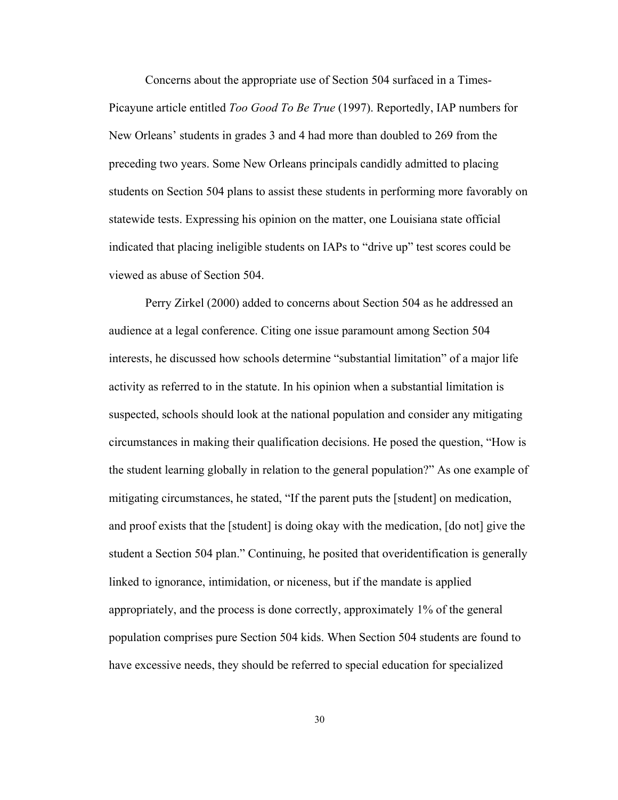Concerns about the appropriate use of Section 504 surfaced in a Times-Picayune article entitled *Too Good To Be True* (1997). Reportedly, IAP numbers for New Orleans' students in grades 3 and 4 had more than doubled to 269 from the preceding two years. Some New Orleans principals candidly admitted to placing students on Section 504 plans to assist these students in performing more favorably on statewide tests. Expressing his opinion on the matter, one Louisiana state official indicated that placing ineligible students on IAPs to "drive up" test scores could be viewed as abuse of Section 504.

Perry Zirkel (2000) added to concerns about Section 504 as he addressed an audience at a legal conference. Citing one issue paramount among Section 504 interests, he discussed how schools determine "substantial limitation" of a major life activity as referred to in the statute. In his opinion when a substantial limitation is suspected, schools should look at the national population and consider any mitigating circumstances in making their qualification decisions. He posed the question, "How is the student learning globally in relation to the general population?" As one example of mitigating circumstances, he stated, "If the parent puts the [student] on medication, and proof exists that the [student] is doing okay with the medication, [do not] give the student a Section 504 plan." Continuing, he posited that overidentification is generally linked to ignorance, intimidation, or niceness, but if the mandate is applied appropriately, and the process is done correctly, approximately 1% of the general population comprises pure Section 504 kids. When Section 504 students are found to have excessive needs, they should be referred to special education for specialized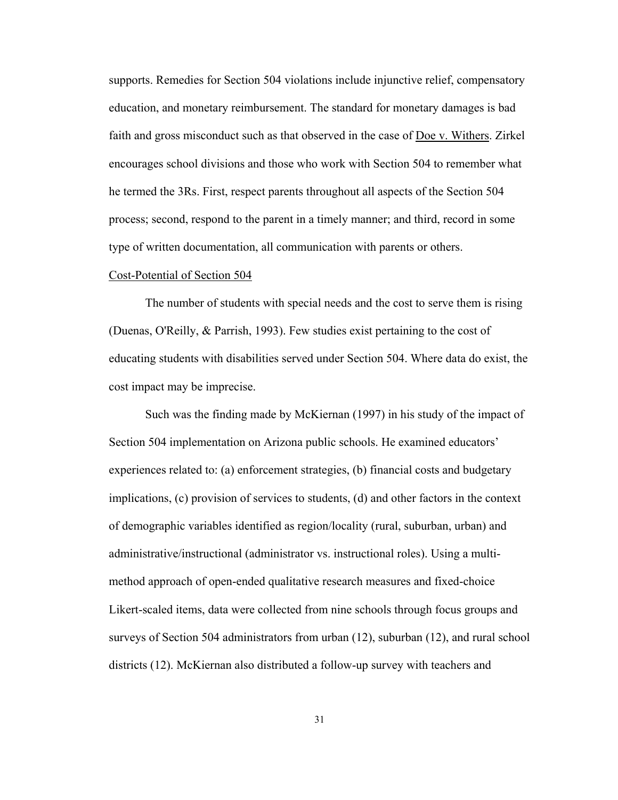supports. Remedies for Section 504 violations include injunctive relief, compensatory education, and monetary reimbursement. The standard for monetary damages is bad faith and gross misconduct such as that observed in the case of Doe v. Withers. Zirkel encourages school divisions and those who work with Section 504 to remember what he termed the 3Rs. First, respect parents throughout all aspects of the Section 504 process; second, respond to the parent in a timely manner; and third, record in some type of written documentation, all communication with parents or others.

#### Cost-Potential of Section 504

The number of students with special needs and the cost to serve them is rising (Duenas, O'Reilly, & Parrish, 1993). Few studies exist pertaining to the cost of educating students with disabilities served under Section 504. Where data do exist, the cost impact may be imprecise.

Such was the finding made by McKiernan (1997) in his study of the impact of Section 504 implementation on Arizona public schools. He examined educators' experiences related to: (a) enforcement strategies, (b) financial costs and budgetary implications, (c) provision of services to students, (d) and other factors in the context of demographic variables identified as region/locality (rural, suburban, urban) and administrative/instructional (administrator vs. instructional roles). Using a multimethod approach of open-ended qualitative research measures and fixed-choice Likert-scaled items, data were collected from nine schools through focus groups and surveys of Section 504 administrators from urban (12), suburban (12), and rural school districts (12). McKiernan also distributed a follow-up survey with teachers and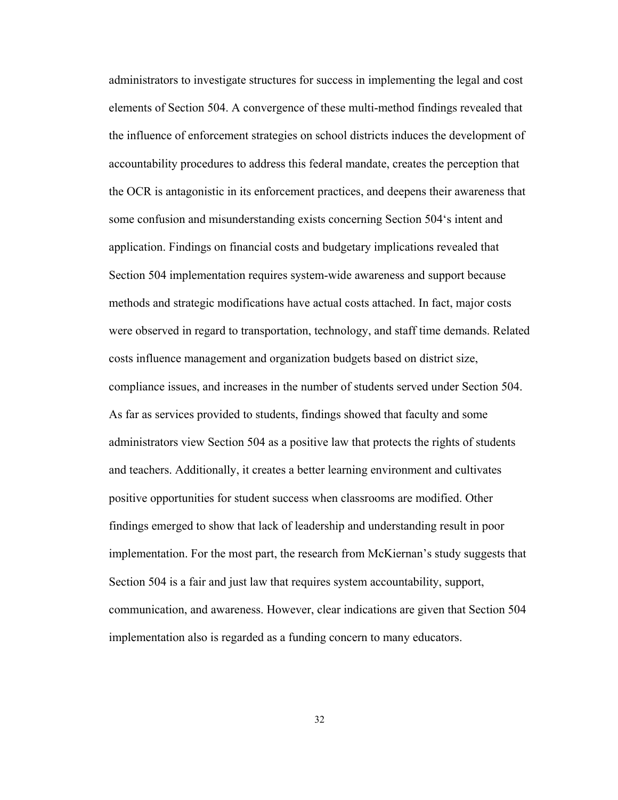administrators to investigate structures for success in implementing the legal and cost elements of Section 504. A convergence of these multi-method findings revealed that the influence of enforcement strategies on school districts induces the development of accountability procedures to address this federal mandate, creates the perception that the OCR is antagonistic in its enforcement practices, and deepens their awareness that some confusion and misunderstanding exists concerning Section 504's intent and application. Findings on financial costs and budgetary implications revealed that Section 504 implementation requires system-wide awareness and support because methods and strategic modifications have actual costs attached. In fact, major costs were observed in regard to transportation, technology, and staff time demands. Related costs influence management and organization budgets based on district size, compliance issues, and increases in the number of students served under Section 504. As far as services provided to students, findings showed that faculty and some administrators view Section 504 as a positive law that protects the rights of students and teachers. Additionally, it creates a better learning environment and cultivates positive opportunities for student success when classrooms are modified. Other findings emerged to show that lack of leadership and understanding result in poor implementation. For the most part, the research from McKiernan's study suggests that Section 504 is a fair and just law that requires system accountability, support, communication, and awareness. However, clear indications are given that Section 504 implementation also is regarded as a funding concern to many educators.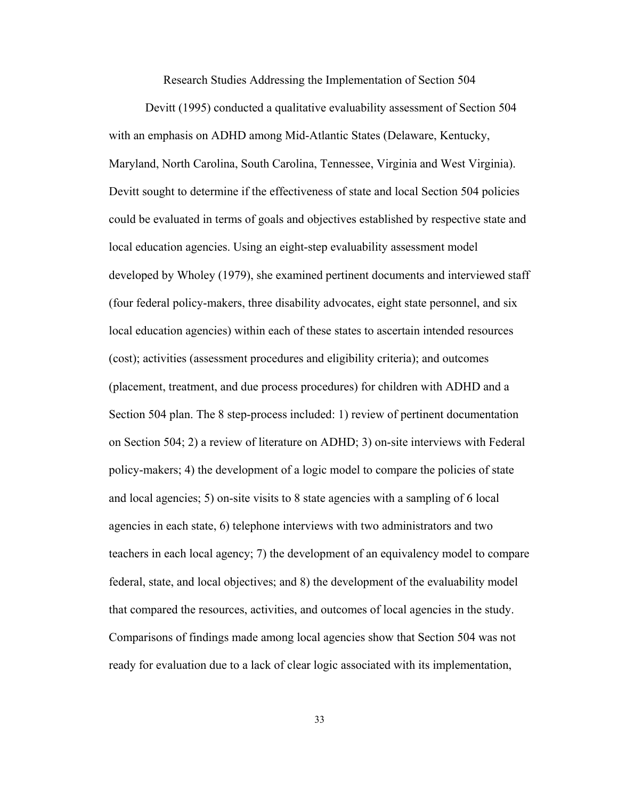Research Studies Addressing the Implementation of Section 504

Devitt (1995) conducted a qualitative evaluability assessment of Section 504 with an emphasis on ADHD among Mid-Atlantic States (Delaware, Kentucky, Maryland, North Carolina, South Carolina, Tennessee, Virginia and West Virginia). Devitt sought to determine if the effectiveness of state and local Section 504 policies could be evaluated in terms of goals and objectives established by respective state and local education agencies. Using an eight-step evaluability assessment model developed by Wholey (1979), she examined pertinent documents and interviewed staff (four federal policy-makers, three disability advocates, eight state personnel, and six local education agencies) within each of these states to ascertain intended resources (cost); activities (assessment procedures and eligibility criteria); and outcomes (placement, treatment, and due process procedures) for children with ADHD and a Section 504 plan. The 8 step-process included: 1) review of pertinent documentation on Section 504; 2) a review of literature on ADHD; 3) on-site interviews with Federal policy-makers; 4) the development of a logic model to compare the policies of state and local agencies; 5) on-site visits to 8 state agencies with a sampling of 6 local agencies in each state, 6) telephone interviews with two administrators and two teachers in each local agency; 7) the development of an equivalency model to compare federal, state, and local objectives; and 8) the development of the evaluability model that compared the resources, activities, and outcomes of local agencies in the study. Comparisons of findings made among local agencies show that Section 504 was not ready for evaluation due to a lack of clear logic associated with its implementation,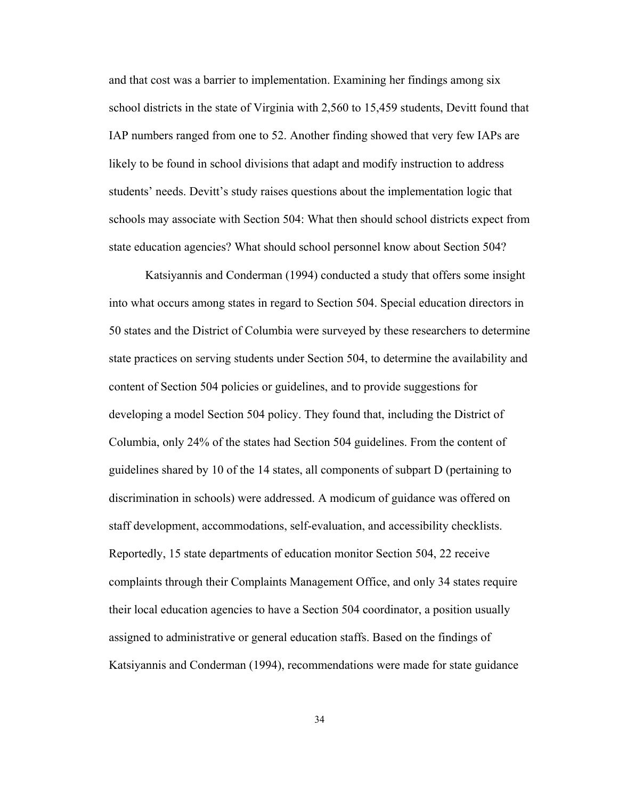and that cost was a barrier to implementation. Examining her findings among six school districts in the state of Virginia with 2,560 to 15,459 students, Devitt found that IAP numbers ranged from one to 52. Another finding showed that very few IAPs are likely to be found in school divisions that adapt and modify instruction to address students' needs. Devitt's study raises questions about the implementation logic that schools may associate with Section 504: What then should school districts expect from state education agencies? What should school personnel know about Section 504?

Katsiyannis and Conderman (1994) conducted a study that offers some insight into what occurs among states in regard to Section 504. Special education directors in 50 states and the District of Columbia were surveyed by these researchers to determine state practices on serving students under Section 504, to determine the availability and content of Section 504 policies or guidelines, and to provide suggestions for developing a model Section 504 policy. They found that, including the District of Columbia, only 24% of the states had Section 504 guidelines. From the content of guidelines shared by 10 of the 14 states, all components of subpart D (pertaining to discrimination in schools) were addressed. A modicum of guidance was offered on staff development, accommodations, self-evaluation, and accessibility checklists. Reportedly, 15 state departments of education monitor Section 504, 22 receive complaints through their Complaints Management Office, and only 34 states require their local education agencies to have a Section 504 coordinator, a position usually assigned to administrative or general education staffs. Based on the findings of Katsiyannis and Conderman (1994), recommendations were made for state guidance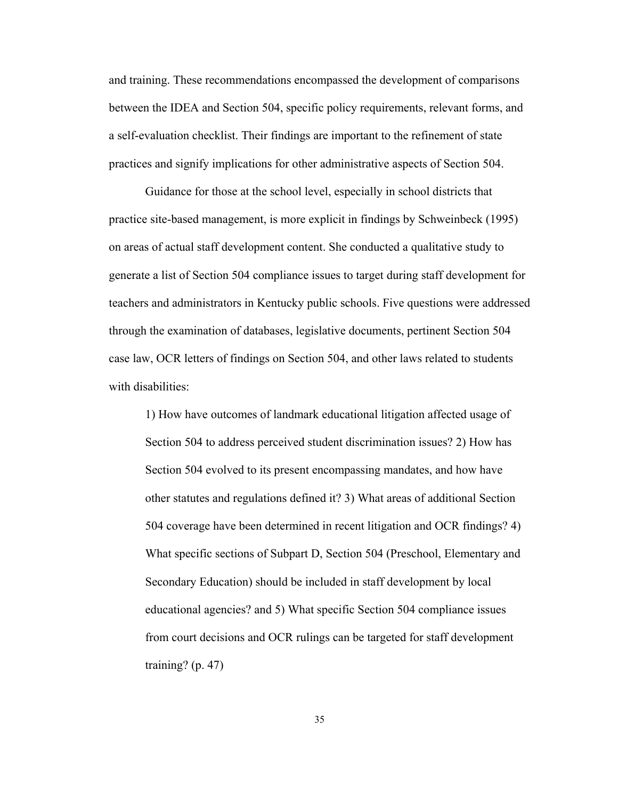and training. These recommendations encompassed the development of comparisons between the IDEA and Section 504, specific policy requirements, relevant forms, and a self-evaluation checklist. Their findings are important to the refinement of state practices and signify implications for other administrative aspects of Section 504.

Guidance for those at the school level, especially in school districts that practice site-based management, is more explicit in findings by Schweinbeck (1995) on areas of actual staff development content. She conducted a qualitative study to generate a list of Section 504 compliance issues to target during staff development for teachers and administrators in Kentucky public schools. Five questions were addressed through the examination of databases, legislative documents, pertinent Section 504 case law, OCR letters of findings on Section 504, and other laws related to students with disabilities:

1) How have outcomes of landmark educational litigation affected usage of Section 504 to address perceived student discrimination issues? 2) How has Section 504 evolved to its present encompassing mandates, and how have other statutes and regulations defined it? 3) What areas of additional Section 504 coverage have been determined in recent litigation and OCR findings? 4) What specific sections of Subpart D, Section 504 (Preschool, Elementary and Secondary Education) should be included in staff development by local educational agencies? and 5) What specific Section 504 compliance issues from court decisions and OCR rulings can be targeted for staff development training?  $(p. 47)$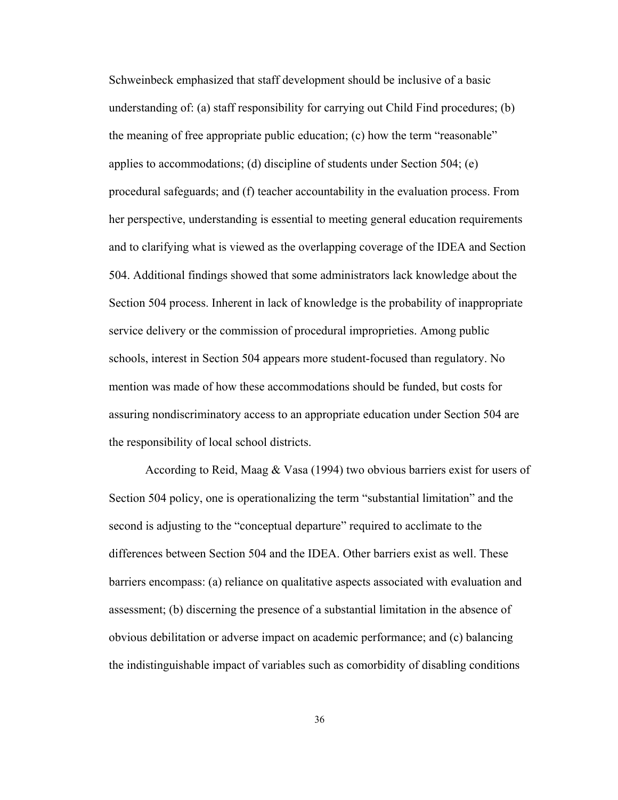Schweinbeck emphasized that staff development should be inclusive of a basic understanding of: (a) staff responsibility for carrying out Child Find procedures; (b) the meaning of free appropriate public education; (c) how the term "reasonable" applies to accommodations; (d) discipline of students under Section 504; (e) procedural safeguards; and (f) teacher accountability in the evaluation process. From her perspective, understanding is essential to meeting general education requirements and to clarifying what is viewed as the overlapping coverage of the IDEA and Section 504. Additional findings showed that some administrators lack knowledge about the Section 504 process. Inherent in lack of knowledge is the probability of inappropriate service delivery or the commission of procedural improprieties. Among public schools, interest in Section 504 appears more student-focused than regulatory. No mention was made of how these accommodations should be funded, but costs for assuring nondiscriminatory access to an appropriate education under Section 504 are the responsibility of local school districts.

According to Reid, Maag & Vasa (1994) two obvious barriers exist for users of Section 504 policy, one is operationalizing the term "substantial limitation" and the second is adjusting to the "conceptual departure" required to acclimate to the differences between Section 504 and the IDEA. Other barriers exist as well. These barriers encompass: (a) reliance on qualitative aspects associated with evaluation and assessment; (b) discerning the presence of a substantial limitation in the absence of obvious debilitation or adverse impact on academic performance; and (c) balancing the indistinguishable impact of variables such as comorbidity of disabling conditions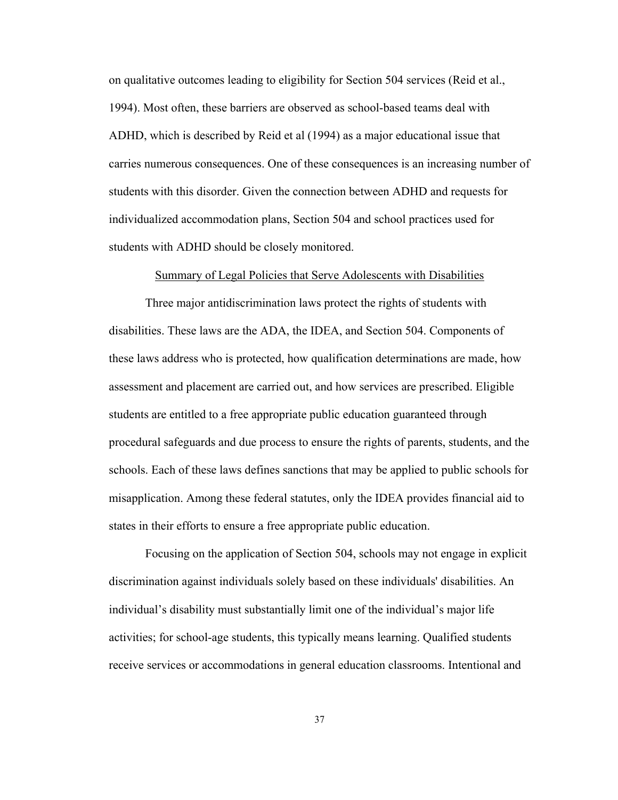on qualitative outcomes leading to eligibility for Section 504 services (Reid et al., 1994). Most often, these barriers are observed as school-based teams deal with ADHD, which is described by Reid et al (1994) as a major educational issue that carries numerous consequences. One of these consequences is an increasing number of students with this disorder. Given the connection between ADHD and requests for individualized accommodation plans, Section 504 and school practices used for students with ADHD should be closely monitored.

#### Summary of Legal Policies that Serve Adolescents with Disabilities

Three major antidiscrimination laws protect the rights of students with disabilities. These laws are the ADA, the IDEA, and Section 504. Components of these laws address who is protected, how qualification determinations are made, how assessment and placement are carried out, and how services are prescribed. Eligible students are entitled to a free appropriate public education guaranteed through procedural safeguards and due process to ensure the rights of parents, students, and the schools. Each of these laws defines sanctions that may be applied to public schools for misapplication. Among these federal statutes, only the IDEA provides financial aid to states in their efforts to ensure a free appropriate public education.

Focusing on the application of Section 504, schools may not engage in explicit discrimination against individuals solely based on these individuals' disabilities. An individual's disability must substantially limit one of the individual's major life activities; for school-age students, this typically means learning. Qualified students receive services or accommodations in general education classrooms. Intentional and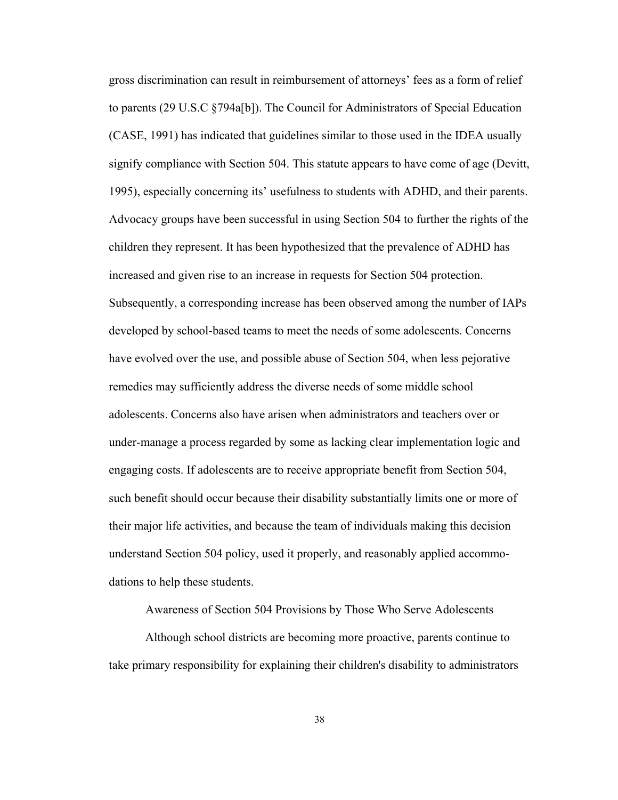gross discrimination can result in reimbursement of attorneys' fees as a form of relief to parents (29 U.S.C §794a[b]). The Council for Administrators of Special Education (CASE, 1991) has indicated that guidelines similar to those used in the IDEA usually signify compliance with Section 504. This statute appears to have come of age (Devitt, 1995), especially concerning its' usefulness to students with ADHD, and their parents. Advocacy groups have been successful in using Section 504 to further the rights of the children they represent. It has been hypothesized that the prevalence of ADHD has increased and given rise to an increase in requests for Section 504 protection. Subsequently, a corresponding increase has been observed among the number of IAPs developed by school-based teams to meet the needs of some adolescents. Concerns have evolved over the use, and possible abuse of Section 504, when less pejorative remedies may sufficiently address the diverse needs of some middle school adolescents. Concerns also have arisen when administrators and teachers over or under-manage a process regarded by some as lacking clear implementation logic and engaging costs. If adolescents are to receive appropriate benefit from Section 504, such benefit should occur because their disability substantially limits one or more of their major life activities, and because the team of individuals making this decision understand Section 504 policy, used it properly, and reasonably applied accommodations to help these students.

Awareness of Section 504 Provisions by Those Who Serve Adolescents

Although school districts are becoming more proactive, parents continue to take primary responsibility for explaining their children's disability to administrators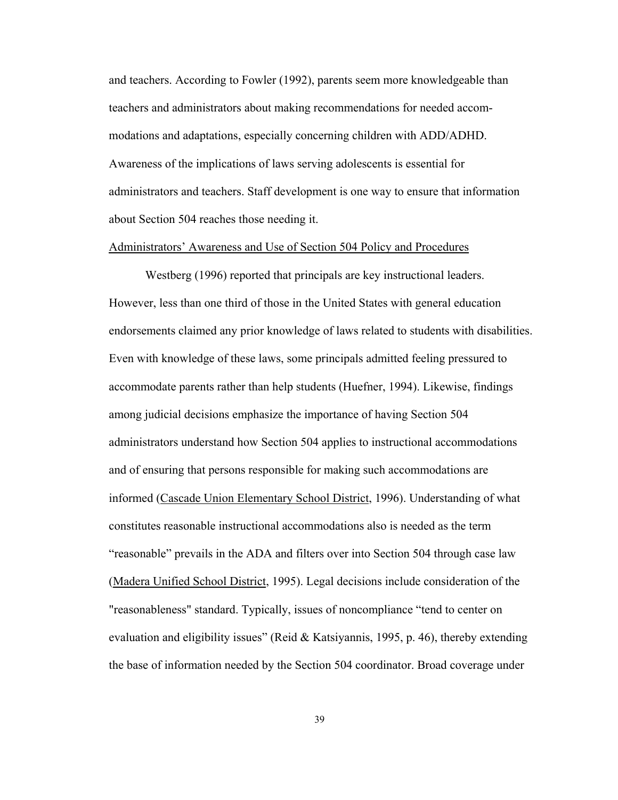and teachers. According to Fowler (1992), parents seem more knowledgeable than teachers and administrators about making recommendations for needed accommodations and adaptations, especially concerning children with ADD/ADHD. Awareness of the implications of laws serving adolescents is essential for administrators and teachers. Staff development is one way to ensure that information about Section 504 reaches those needing it.

## Administrators' Awareness and Use of Section 504 Policy and Procedures

Westberg (1996) reported that principals are key instructional leaders. However, less than one third of those in the United States with general education endorsements claimed any prior knowledge of laws related to students with disabilities. Even with knowledge of these laws, some principals admitted feeling pressured to accommodate parents rather than help students (Huefner, 1994). Likewise, findings among judicial decisions emphasize the importance of having Section 504 administrators understand how Section 504 applies to instructional accommodations and of ensuring that persons responsible for making such accommodations are informed (Cascade Union Elementary School District, 1996). Understanding of what constitutes reasonable instructional accommodations also is needed as the term "reasonable" prevails in the ADA and filters over into Section 504 through case law (Madera Unified School District, 1995). Legal decisions include consideration of the "reasonableness" standard. Typically, issues of noncompliance "tend to center on evaluation and eligibility issues" (Reid & Katsiyannis, 1995, p. 46), thereby extending the base of information needed by the Section 504 coordinator. Broad coverage under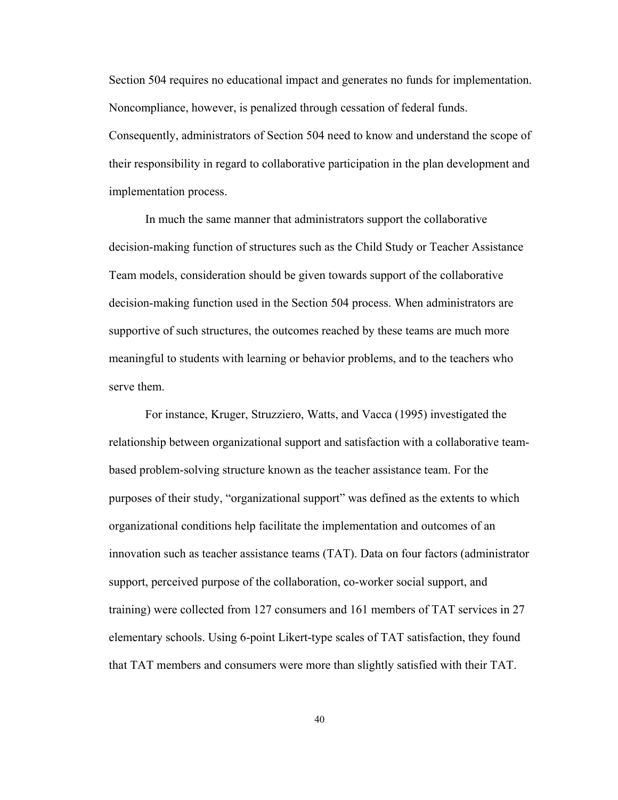Section 504 requires no educational impact and generates no funds for implementation. Noncompliance, however, is penalized through cessation of federal funds.

Consequently, administrators of Section 504 need to know and understand the scope of their responsibility in regard to collaborative participation in the plan development and implementation process.

In much the same manner that administrators support the collaborative decision-making function of structures such as the Child Study or Teacher Assistance Team models, consideration should be given towards support of the collaborative decision-making function used in the Section 504 process. When administrators are supportive of such structures, the outcomes reached by these teams are much more meaningful to students with learning or behavior problems, and to the teachers who serve them.

For instance, Kruger, Struzziero, Watts, and Vacca (1995) investigated the relationship between organizational support and satisfaction with a collaborative teambased problem-solving structure known as the teacher assistance team. For the purposes of their study, "organizational support" was defined as the extents to which organizational conditions help facilitate the implementation and outcomes of an innovation such as teacher assistance teams (TAT). Data on four factors (administrator support, perceived purpose of the collaboration, co-worker social support, and training) were collected from 127 consumers and 161 members of TAT services in 27 elementary schools. Using 6-point Likert-type scales of TAT satisfaction, they found that TAT members and consumers were more than slightly satisfied with their TAT.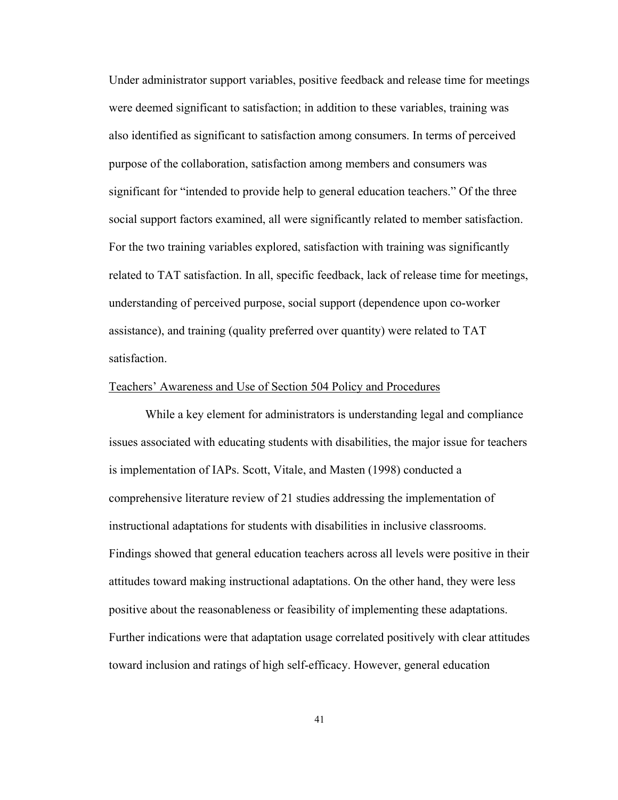Under administrator support variables, positive feedback and release time for meetings were deemed significant to satisfaction; in addition to these variables, training was also identified as significant to satisfaction among consumers. In terms of perceived purpose of the collaboration, satisfaction among members and consumers was significant for "intended to provide help to general education teachers." Of the three social support factors examined, all were significantly related to member satisfaction. For the two training variables explored, satisfaction with training was significantly related to TAT satisfaction. In all, specific feedback, lack of release time for meetings, understanding of perceived purpose, social support (dependence upon co-worker assistance), and training (quality preferred over quantity) were related to TAT satisfaction.

#### Teachers' Awareness and Use of Section 504 Policy and Procedures

While a key element for administrators is understanding legal and compliance issues associated with educating students with disabilities, the major issue for teachers is implementation of IAPs. Scott, Vitale, and Masten (1998) conducted a comprehensive literature review of 21 studies addressing the implementation of instructional adaptations for students with disabilities in inclusive classrooms. Findings showed that general education teachers across all levels were positive in their attitudes toward making instructional adaptations. On the other hand, they were less positive about the reasonableness or feasibility of implementing these adaptations. Further indications were that adaptation usage correlated positively with clear attitudes toward inclusion and ratings of high self-efficacy. However, general education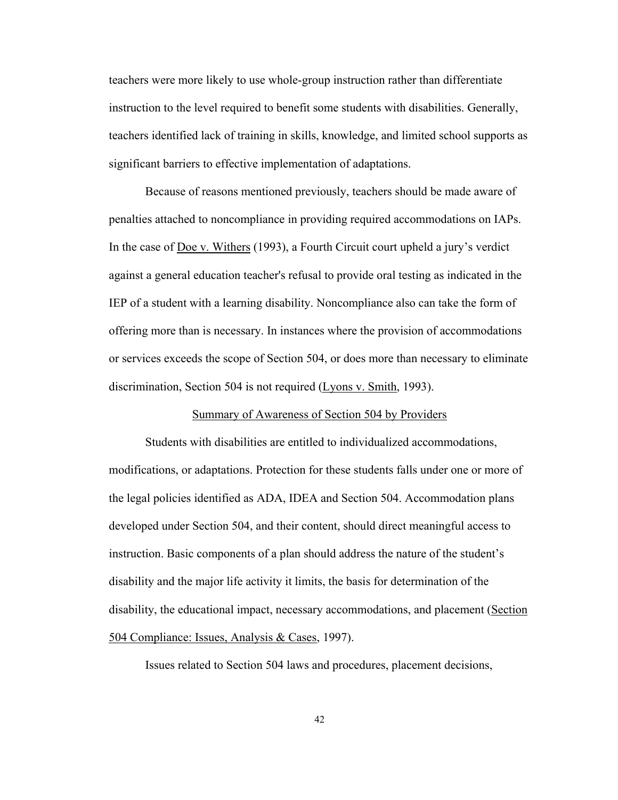teachers were more likely to use whole-group instruction rather than differentiate instruction to the level required to benefit some students with disabilities. Generally, teachers identified lack of training in skills, knowledge, and limited school supports as significant barriers to effective implementation of adaptations.

Because of reasons mentioned previously, teachers should be made aware of penalties attached to noncompliance in providing required accommodations on IAPs. In the case of Doe v. Withers (1993), a Fourth Circuit court upheld a jury's verdict against a general education teacher's refusal to provide oral testing as indicated in the IEP of a student with a learning disability. Noncompliance also can take the form of offering more than is necessary. In instances where the provision of accommodations or services exceeds the scope of Section 504, or does more than necessary to eliminate discrimination, Section 504 is not required (Lyons v. Smith, 1993).

## Summary of Awareness of Section 504 by Providers

Students with disabilities are entitled to individualized accommodations, modifications, or adaptations. Protection for these students falls under one or more of the legal policies identified as ADA, IDEA and Section 504. Accommodation plans developed under Section 504, and their content, should direct meaningful access to instruction. Basic components of a plan should address the nature of the student's disability and the major life activity it limits, the basis for determination of the disability, the educational impact, necessary accommodations, and placement (Section 504 Compliance: Issues, Analysis & Cases, 1997).

Issues related to Section 504 laws and procedures, placement decisions,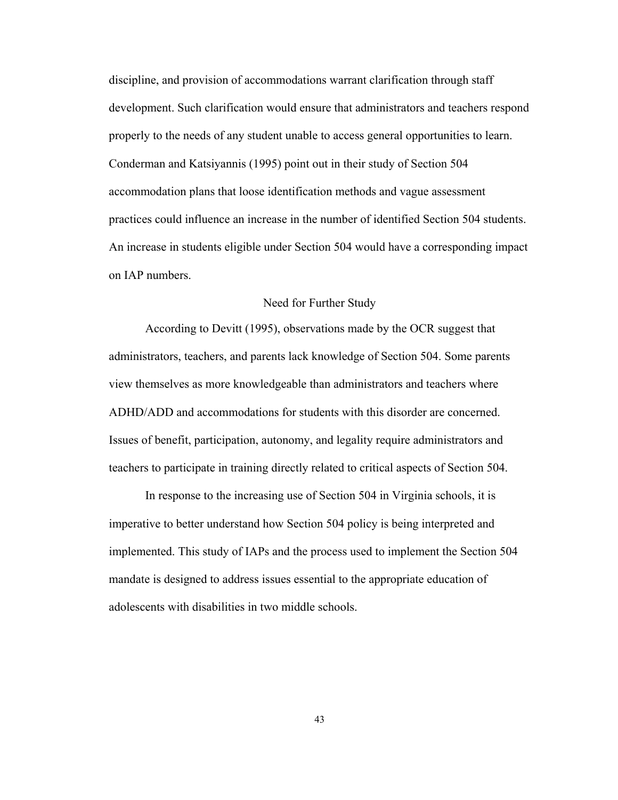discipline, and provision of accommodations warrant clarification through staff development. Such clarification would ensure that administrators and teachers respond properly to the needs of any student unable to access general opportunities to learn. Conderman and Katsiyannis (1995) point out in their study of Section 504 accommodation plans that loose identification methods and vague assessment practices could influence an increase in the number of identified Section 504 students. An increase in students eligible under Section 504 would have a corresponding impact on IAP numbers.

## Need for Further Study

According to Devitt (1995), observations made by the OCR suggest that administrators, teachers, and parents lack knowledge of Section 504. Some parents view themselves as more knowledgeable than administrators and teachers where ADHD/ADD and accommodations for students with this disorder are concerned. Issues of benefit, participation, autonomy, and legality require administrators and teachers to participate in training directly related to critical aspects of Section 504.

In response to the increasing use of Section 504 in Virginia schools, it is imperative to better understand how Section 504 policy is being interpreted and implemented. This study of IAPs and the process used to implement the Section 504 mandate is designed to address issues essential to the appropriate education of adolescents with disabilities in two middle schools.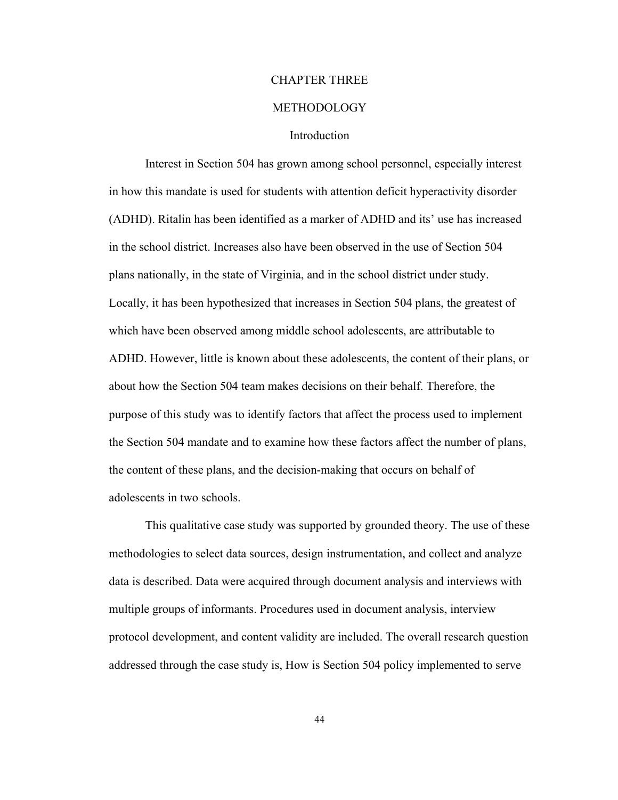# CHAPTER THREE

## METHODOLOGY

## Introduction

Interest in Section 504 has grown among school personnel, especially interest in how this mandate is used for students with attention deficit hyperactivity disorder (ADHD). Ritalin has been identified as a marker of ADHD and its' use has increased in the school district. Increases also have been observed in the use of Section 504 plans nationally, in the state of Virginia, and in the school district under study. Locally, it has been hypothesized that increases in Section 504 plans, the greatest of which have been observed among middle school adolescents, are attributable to ADHD. However, little is known about these adolescents, the content of their plans, or about how the Section 504 team makes decisions on their behalf. Therefore, the purpose of this study was to identify factors that affect the process used to implement the Section 504 mandate and to examine how these factors affect the number of plans, the content of these plans, and the decision-making that occurs on behalf of adolescents in two schools.

This qualitative case study was supported by grounded theory. The use of these methodologies to select data sources, design instrumentation, and collect and analyze data is described. Data were acquired through document analysis and interviews with multiple groups of informants. Procedures used in document analysis, interview protocol development, and content validity are included. The overall research question addressed through the case study is, How is Section 504 policy implemented to serve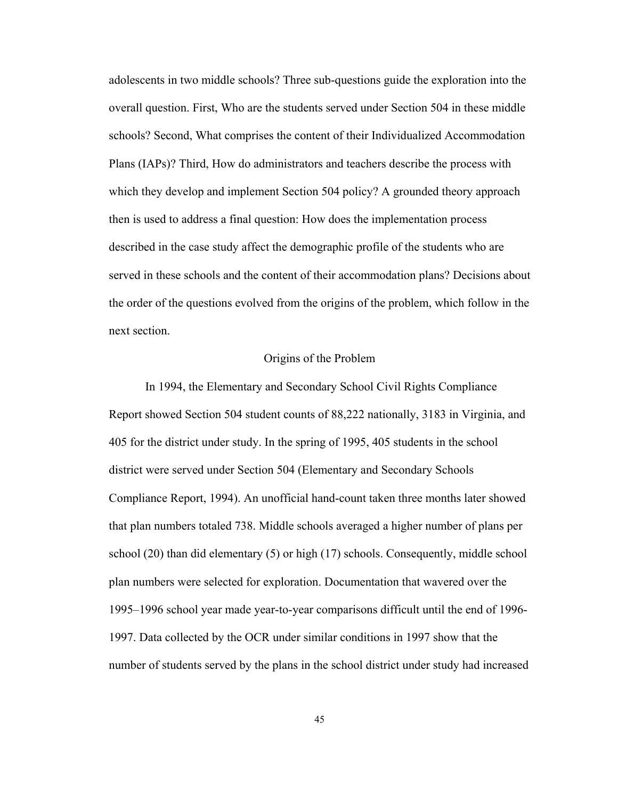adolescents in two middle schools? Three sub-questions guide the exploration into the overall question. First, Who are the students served under Section 504 in these middle schools? Second, What comprises the content of their Individualized Accommodation Plans (IAPs)? Third, How do administrators and teachers describe the process with which they develop and implement Section 504 policy? A grounded theory approach then is used to address a final question: How does the implementation process described in the case study affect the demographic profile of the students who are served in these schools and the content of their accommodation plans? Decisions about the order of the questions evolved from the origins of the problem, which follow in the next section.

## Origins of the Problem

In 1994, the Elementary and Secondary School Civil Rights Compliance Report showed Section 504 student counts of 88,222 nationally, 3183 in Virginia, and 405 for the district under study. In the spring of 1995, 405 students in the school district were served under Section 504 (Elementary and Secondary Schools Compliance Report, 1994). An unofficial hand-count taken three months later showed that plan numbers totaled 738. Middle schools averaged a higher number of plans per school (20) than did elementary (5) or high (17) schools. Consequently, middle school plan numbers were selected for exploration. Documentation that wavered over the 1995–1996 school year made year-to-year comparisons difficult until the end of 1996- 1997. Data collected by the OCR under similar conditions in 1997 show that the number of students served by the plans in the school district under study had increased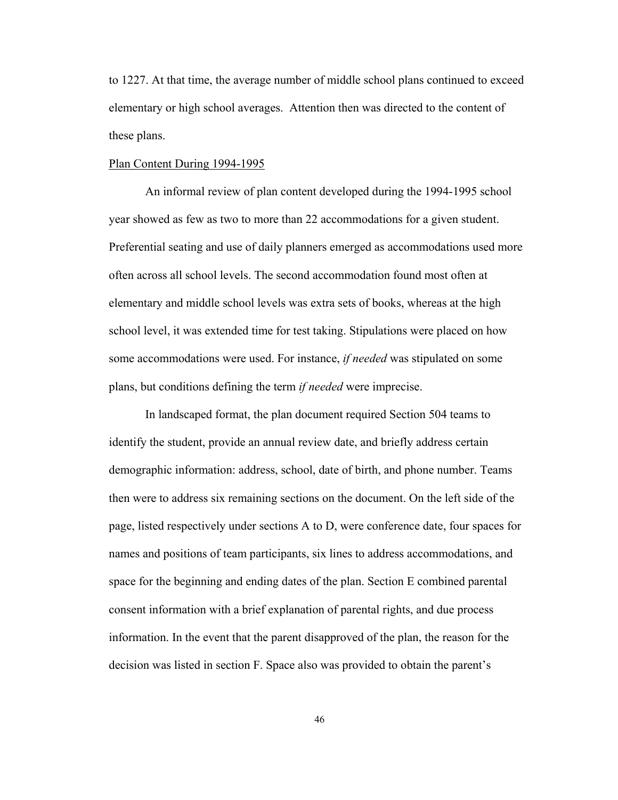to 1227. At that time, the average number of middle school plans continued to exceed elementary or high school averages. Attention then was directed to the content of these plans.

#### Plan Content During 1994-1995

An informal review of plan content developed during the 1994-1995 school year showed as few as two to more than 22 accommodations for a given student. Preferential seating and use of daily planners emerged as accommodations used more often across all school levels. The second accommodation found most often at elementary and middle school levels was extra sets of books, whereas at the high school level, it was extended time for test taking. Stipulations were placed on how some accommodations were used. For instance, *if needed* was stipulated on some plans, but conditions defining the term *if needed* were imprecise.

In landscaped format, the plan document required Section 504 teams to identify the student, provide an annual review date, and briefly address certain demographic information: address, school, date of birth, and phone number. Teams then were to address six remaining sections on the document. On the left side of the page, listed respectively under sections A to D, were conference date, four spaces for names and positions of team participants, six lines to address accommodations, and space for the beginning and ending dates of the plan. Section E combined parental consent information with a brief explanation of parental rights, and due process information. In the event that the parent disapproved of the plan, the reason for the decision was listed in section F. Space also was provided to obtain the parent's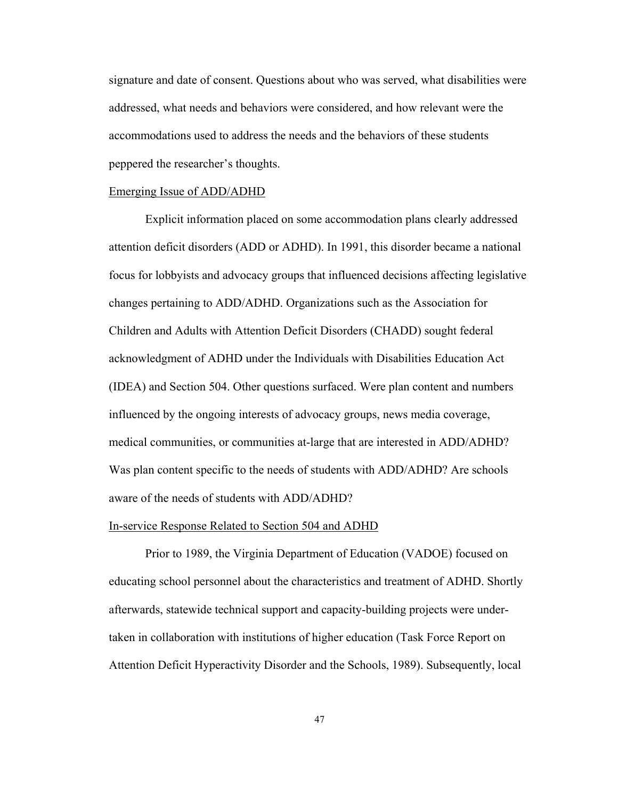signature and date of consent. Questions about who was served, what disabilities were addressed, what needs and behaviors were considered, and how relevant were the accommodations used to address the needs and the behaviors of these students peppered the researcher's thoughts.

#### Emerging Issue of ADD/ADHD

Explicit information placed on some accommodation plans clearly addressed attention deficit disorders (ADD or ADHD). In 1991, this disorder became a national focus for lobbyists and advocacy groups that influenced decisions affecting legislative changes pertaining to ADD/ADHD. Organizations such as the Association for Children and Adults with Attention Deficit Disorders (CHADD) sought federal acknowledgment of ADHD under the Individuals with Disabilities Education Act (IDEA) and Section 504. Other questions surfaced. Were plan content and numbers influenced by the ongoing interests of advocacy groups, news media coverage, medical communities, or communities at-large that are interested in ADD/ADHD? Was plan content specific to the needs of students with ADD/ADHD? Are schools aware of the needs of students with ADD/ADHD?

#### In-service Response Related to Section 504 and ADHD

Prior to 1989, the Virginia Department of Education (VADOE) focused on educating school personnel about the characteristics and treatment of ADHD. Shortly afterwards, statewide technical support and capacity-building projects were undertaken in collaboration with institutions of higher education (Task Force Report on Attention Deficit Hyperactivity Disorder and the Schools, 1989). Subsequently, local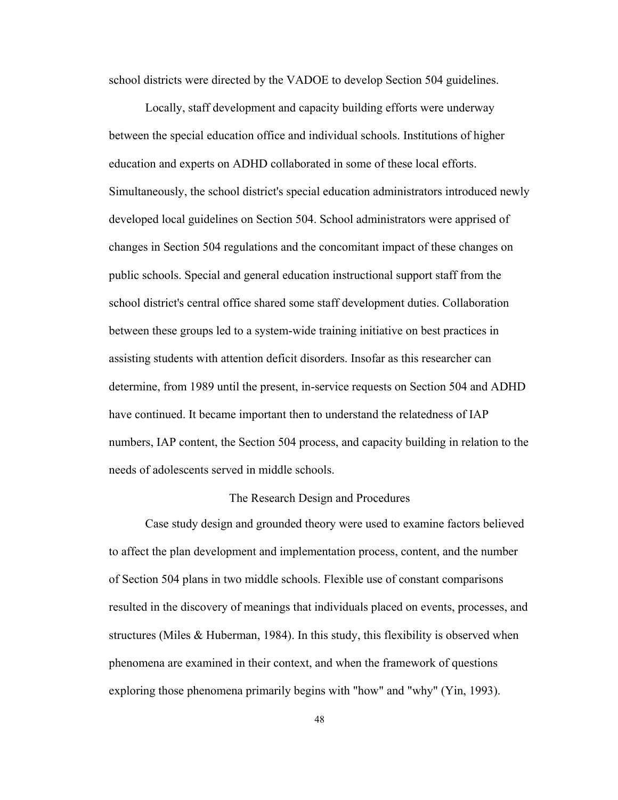school districts were directed by the VADOE to develop Section 504 guidelines.

Locally, staff development and capacity building efforts were underway between the special education office and individual schools. Institutions of higher education and experts on ADHD collaborated in some of these local efforts. Simultaneously, the school district's special education administrators introduced newly developed local guidelines on Section 504. School administrators were apprised of changes in Section 504 regulations and the concomitant impact of these changes on public schools. Special and general education instructional support staff from the school district's central office shared some staff development duties. Collaboration between these groups led to a system-wide training initiative on best practices in assisting students with attention deficit disorders. Insofar as this researcher can determine, from 1989 until the present, in-service requests on Section 504 and ADHD have continued. It became important then to understand the relatedness of IAP numbers, IAP content, the Section 504 process, and capacity building in relation to the needs of adolescents served in middle schools.

#### The Research Design and Procedures

Case study design and grounded theory were used to examine factors believed to affect the plan development and implementation process, content, and the number of Section 504 plans in two middle schools. Flexible use of constant comparisons resulted in the discovery of meanings that individuals placed on events, processes, and structures (Miles  $& Huberman$ , 1984). In this study, this flexibility is observed when phenomena are examined in their context, and when the framework of questions exploring those phenomena primarily begins with "how" and "why" (Yin, 1993).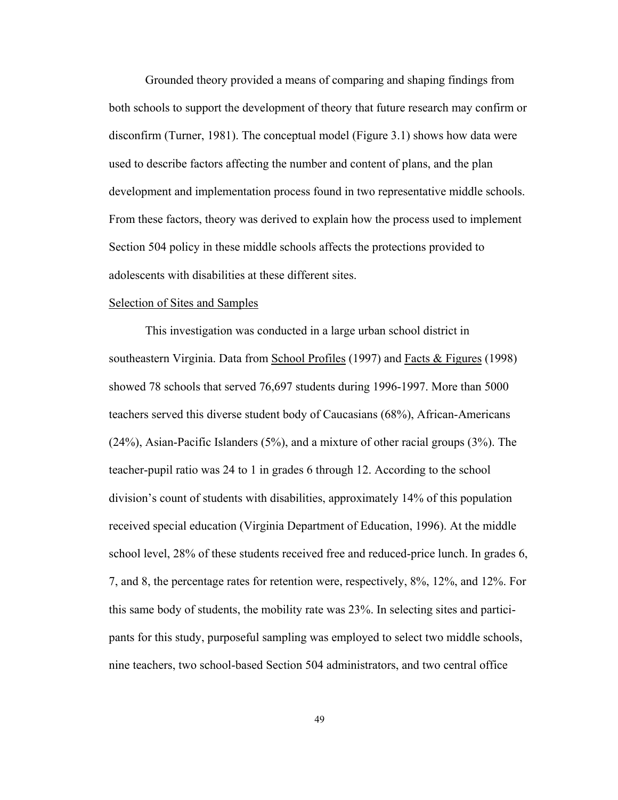Grounded theory provided a means of comparing and shaping findings from both schools to support the development of theory that future research may confirm or disconfirm (Turner, 1981). The conceptual model (Figure 3.1) shows how data were used to describe factors affecting the number and content of plans, and the plan development and implementation process found in two representative middle schools. From these factors, theory was derived to explain how the process used to implement Section 504 policy in these middle schools affects the protections provided to adolescents with disabilities at these different sites.

## Selection of Sites and Samples

This investigation was conducted in a large urban school district in southeastern Virginia. Data from School Profiles (1997) and Facts & Figures (1998) showed 78 schools that served 76,697 students during 1996-1997. More than 5000 teachers served this diverse student body of Caucasians (68%), African-Americans (24%), Asian-Pacific Islanders (5%), and a mixture of other racial groups (3%). The teacher-pupil ratio was 24 to 1 in grades 6 through 12. According to the school division's count of students with disabilities, approximately 14% of this population received special education (Virginia Department of Education, 1996). At the middle school level, 28% of these students received free and reduced-price lunch. In grades 6, 7, and 8, the percentage rates for retention were, respectively, 8%, 12%, and 12%. For this same body of students, the mobility rate was 23%. In selecting sites and participants for this study, purposeful sampling was employed to select two middle schools, nine teachers, two school-based Section 504 administrators, and two central office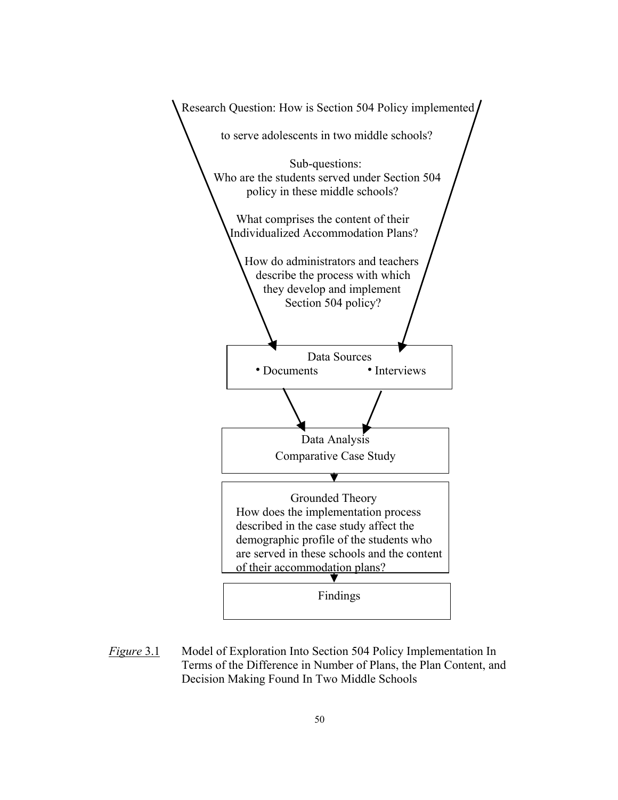

*Figure* 3.1 Model of Exploration Into Section 504 Policy Implementation In Terms of the Difference in Number of Plans, the Plan Content, and Decision Making Found In Two Middle Schools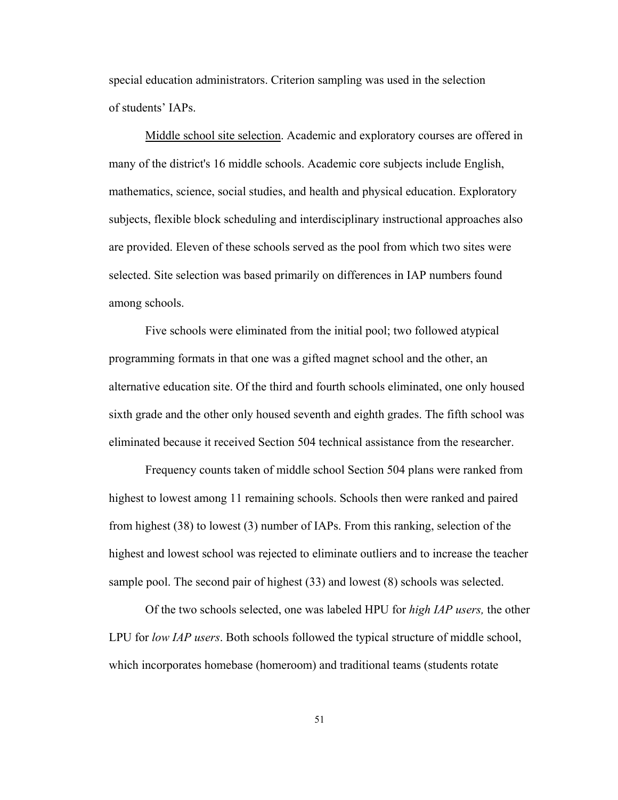special education administrators. Criterion sampling was used in the selection of students' IAPs.

Middle school site selection. Academic and exploratory courses are offered in many of the district's 16 middle schools. Academic core subjects include English, mathematics, science, social studies, and health and physical education. Exploratory subjects, flexible block scheduling and interdisciplinary instructional approaches also are provided. Eleven of these schools served as the pool from which two sites were selected. Site selection was based primarily on differences in IAP numbers found among schools.

Five schools were eliminated from the initial pool; two followed atypical programming formats in that one was a gifted magnet school and the other, an alternative education site. Of the third and fourth schools eliminated, one only housed sixth grade and the other only housed seventh and eighth grades. The fifth school was eliminated because it received Section 504 technical assistance from the researcher.

Frequency counts taken of middle school Section 504 plans were ranked from highest to lowest among 11 remaining schools. Schools then were ranked and paired from highest (38) to lowest (3) number of IAPs. From this ranking, selection of the highest and lowest school was rejected to eliminate outliers and to increase the teacher sample pool. The second pair of highest (33) and lowest (8) schools was selected.

Of the two schools selected, one was labeled HPU for *high IAP users,* the other LPU for *low IAP users*. Both schools followed the typical structure of middle school, which incorporates homebase (homeroom) and traditional teams (students rotate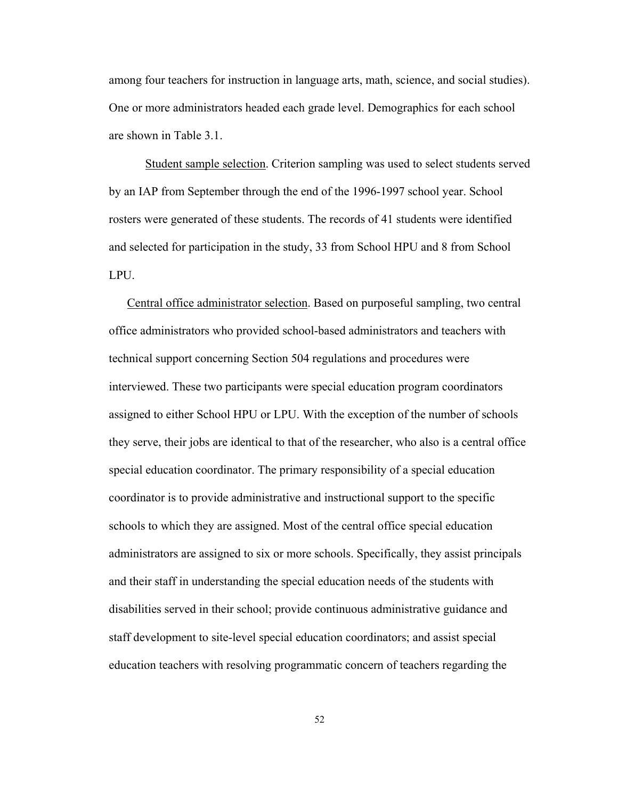among four teachers for instruction in language arts, math, science, and social studies). One or more administrators headed each grade level. Demographics for each school are shown in Table 3.1.

Student sample selection. Criterion sampling was used to select students served by an IAP from September through the end of the 1996-1997 school year. School rosters were generated of these students. The records of 41 students were identified and selected for participation in the study, 33 from School HPU and 8 from School LPU.

Central office administrator selection. Based on purposeful sampling, two central office administrators who provided school-based administrators and teachers with technical support concerning Section 504 regulations and procedures were interviewed. These two participants were special education program coordinators assigned to either School HPU or LPU. With the exception of the number of schools they serve, their jobs are identical to that of the researcher, who also is a central office special education coordinator. The primary responsibility of a special education coordinator is to provide administrative and instructional support to the specific schools to which they are assigned. Most of the central office special education administrators are assigned to six or more schools. Specifically, they assist principals and their staff in understanding the special education needs of the students with disabilities served in their school; provide continuous administrative guidance and staff development to site-level special education coordinators; and assist special education teachers with resolving programmatic concern of teachers regarding the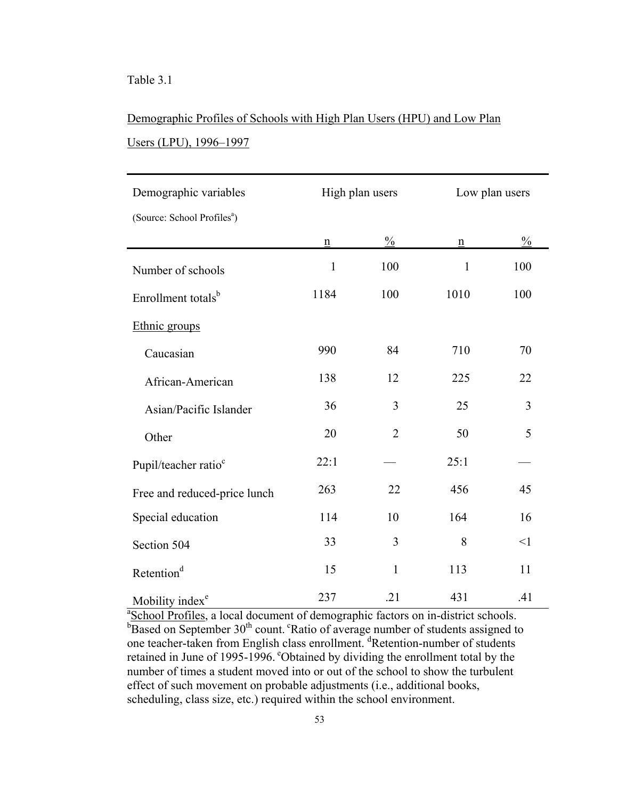# Table 3.1

# Demographic Profiles of Schools with High Plan Users (HPU) and Low Plan Users (LPU), 1996–1997

| Demographic variables                   | High plan users |                | Low plan users  |               |
|-----------------------------------------|-----------------|----------------|-----------------|---------------|
| (Source: School Profiles <sup>a</sup> ) |                 |                |                 |               |
|                                         | $\underline{n}$ | $\frac{0}{0}$  | $\underline{n}$ | $\frac{0}{0}$ |
| Number of schools                       | $\mathbf{1}$    | 100            | $\mathbf{1}$    | 100           |
| Enrollment totals <sup>b</sup>          | 1184            | 100            | 1010            | 100           |
| Ethnic groups                           |                 |                |                 |               |
| Caucasian                               | 990             | 84             | 710             | 70            |
| African-American                        | 138             | 12             | 225             | 22            |
| Asian/Pacific Islander                  | 36              | 3              | 25              | 3             |
| Other                                   | 20              | $\overline{2}$ | 50              | 5             |
| Pupil/teacher ratio <sup>c</sup>        | 22:1            |                | 25:1            |               |
| Free and reduced-price lunch            | 263             | 22             | 456             | 45            |
| Special education                       | 114             | 10             | 164             | 16            |
| Section 504                             | 33              | 3              | 8               | $\leq$ 1      |
| Retention <sup>d</sup>                  | 15              | 1              | 113             | 11            |
| Mobility index <sup>e</sup>             | 237             | .21            | 431             | .41           |

<sup>a</sup> School Profiles, a local document of demographic factors on in-district schools.  $b_{\text{Based on September 30}}$ <sup>th</sup> count. <sup>c</sup>Ratio of average number of students assigned to one teacher-taken from English class enrollment. <sup>d</sup>Retention-number of students retained in June of 1995-1996. "Obtained by dividing the enrollment total by the number of times a student moved into or out of the school to show the turbulent effect of such movement on probable adjustments (i.e., additional books, scheduling, class size, etc.) required within the school environment.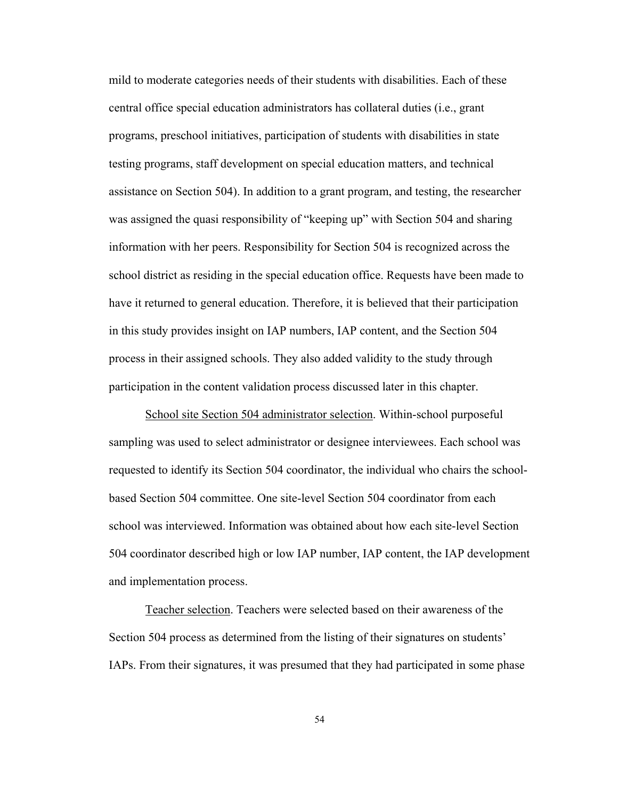mild to moderate categories needs of their students with disabilities. Each of these central office special education administrators has collateral duties (i.e., grant programs, preschool initiatives, participation of students with disabilities in state testing programs, staff development on special education matters, and technical assistance on Section 504). In addition to a grant program, and testing, the researcher was assigned the quasi responsibility of "keeping up" with Section 504 and sharing information with her peers. Responsibility for Section 504 is recognized across the school district as residing in the special education office. Requests have been made to have it returned to general education. Therefore, it is believed that their participation in this study provides insight on IAP numbers, IAP content, and the Section 504 process in their assigned schools. They also added validity to the study through participation in the content validation process discussed later in this chapter.

School site Section 504 administrator selection. Within-school purposeful sampling was used to select administrator or designee interviewees. Each school was requested to identify its Section 504 coordinator, the individual who chairs the schoolbased Section 504 committee. One site-level Section 504 coordinator from each school was interviewed. Information was obtained about how each site-level Section 504 coordinator described high or low IAP number, IAP content, the IAP development and implementation process.

 Teacher selection. Teachers were selected based on their awareness of the Section 504 process as determined from the listing of their signatures on students' IAPs. From their signatures, it was presumed that they had participated in some phase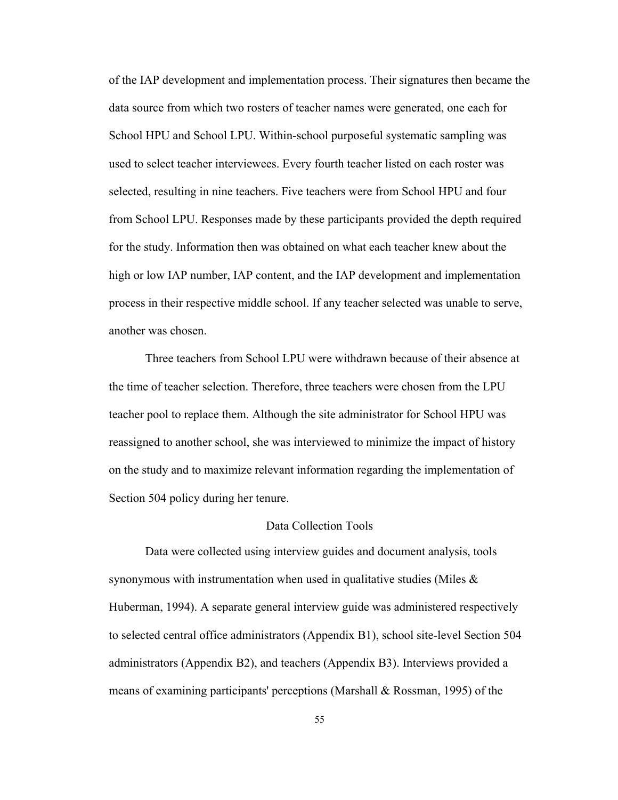of the IAP development and implementation process. Their signatures then became the data source from which two rosters of teacher names were generated, one each for School HPU and School LPU. Within-school purposeful systematic sampling was used to select teacher interviewees. Every fourth teacher listed on each roster was selected, resulting in nine teachers. Five teachers were from School HPU and four from School LPU. Responses made by these participants provided the depth required for the study. Information then was obtained on what each teacher knew about the high or low IAP number, IAP content, and the IAP development and implementation process in their respective middle school. If any teacher selected was unable to serve, another was chosen.

Three teachers from School LPU were withdrawn because of their absence at the time of teacher selection. Therefore, three teachers were chosen from the LPU teacher pool to replace them. Although the site administrator for School HPU was reassigned to another school, she was interviewed to minimize the impact of history on the study and to maximize relevant information regarding the implementation of Section 504 policy during her tenure.

#### Data Collection Tools

Data were collected using interview guides and document analysis, tools synonymous with instrumentation when used in qualitative studies (Miles & Huberman, 1994). A separate general interview guide was administered respectively to selected central office administrators (Appendix B1), school site-level Section 504 administrators (Appendix B2), and teachers (Appendix B3). Interviews provided a means of examining participants' perceptions (Marshall & Rossman, 1995) of the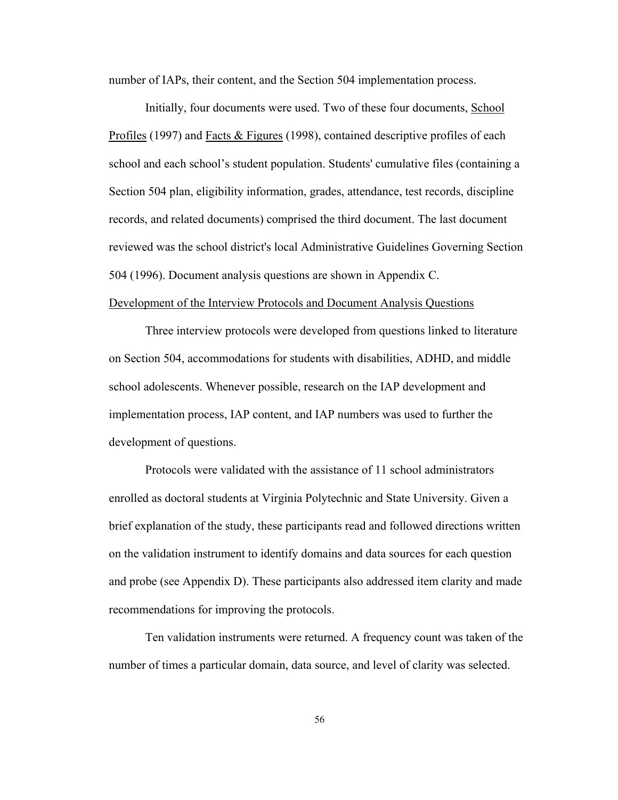number of IAPs, their content, and the Section 504 implementation process.

Initially, four documents were used. Two of these four documents, School Profiles (1997) and Facts & Figures (1998), contained descriptive profiles of each school and each school's student population. Students' cumulative files (containing a Section 504 plan, eligibility information, grades, attendance, test records, discipline records, and related documents) comprised the third document. The last document reviewed was the school district's local Administrative Guidelines Governing Section 504 (1996). Document analysis questions are shown in Appendix C.

# Development of the Interview Protocols and Document Analysis Questions

Three interview protocols were developed from questions linked to literature on Section 504, accommodations for students with disabilities, ADHD, and middle school adolescents. Whenever possible, research on the IAP development and implementation process, IAP content, and IAP numbers was used to further the development of questions.

Protocols were validated with the assistance of 11 school administrators enrolled as doctoral students at Virginia Polytechnic and State University. Given a brief explanation of the study, these participants read and followed directions written on the validation instrument to identify domains and data sources for each question and probe (see Appendix D). These participants also addressed item clarity and made recommendations for improving the protocols.

Ten validation instruments were returned. A frequency count was taken of the number of times a particular domain, data source, and level of clarity was selected.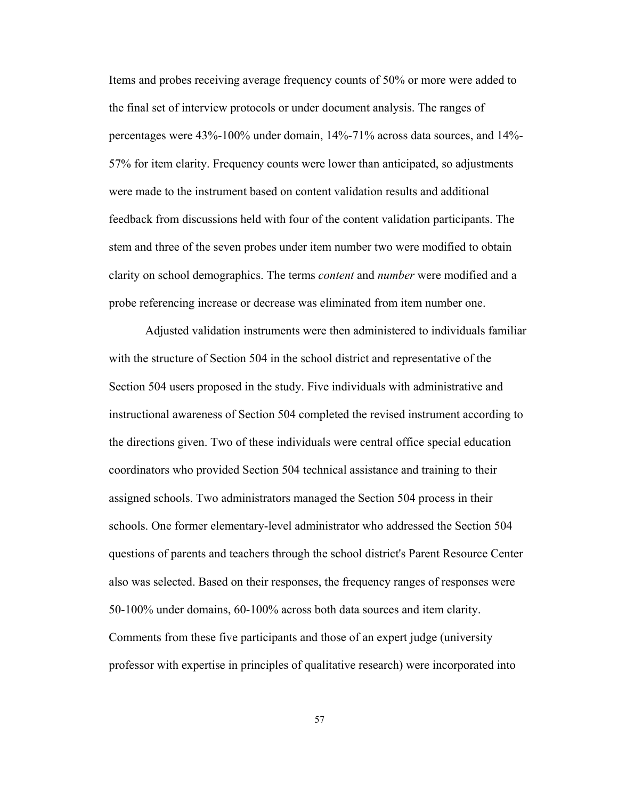Items and probes receiving average frequency counts of 50% or more were added to the final set of interview protocols or under document analysis. The ranges of percentages were 43%-100% under domain, 14%-71% across data sources, and 14%- 57% for item clarity. Frequency counts were lower than anticipated, so adjustments were made to the instrument based on content validation results and additional feedback from discussions held with four of the content validation participants. The stem and three of the seven probes under item number two were modified to obtain clarity on school demographics. The terms *content* and *number* were modified and a probe referencing increase or decrease was eliminated from item number one.

Adjusted validation instruments were then administered to individuals familiar with the structure of Section 504 in the school district and representative of the Section 504 users proposed in the study. Five individuals with administrative and instructional awareness of Section 504 completed the revised instrument according to the directions given. Two of these individuals were central office special education coordinators who provided Section 504 technical assistance and training to their assigned schools. Two administrators managed the Section 504 process in their schools. One former elementary-level administrator who addressed the Section 504 questions of parents and teachers through the school district's Parent Resource Center also was selected. Based on their responses, the frequency ranges of responses were 50-100% under domains, 60-100% across both data sources and item clarity. Comments from these five participants and those of an expert judge (university professor with expertise in principles of qualitative research) were incorporated into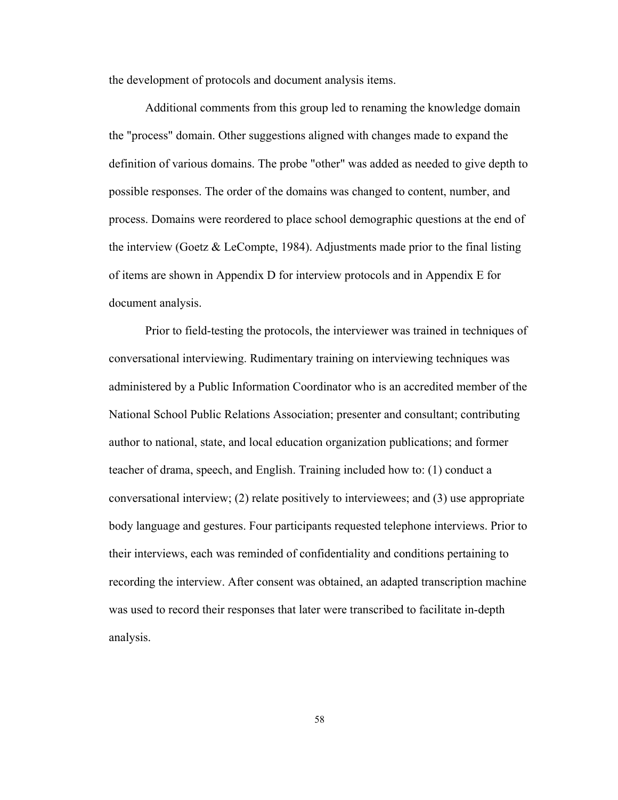the development of protocols and document analysis items.

Additional comments from this group led to renaming the knowledge domain the "process" domain. Other suggestions aligned with changes made to expand the definition of various domains. The probe "other" was added as needed to give depth to possible responses. The order of the domains was changed to content, number, and process. Domains were reordered to place school demographic questions at the end of the interview (Goetz & LeCompte, 1984). Adjustments made prior to the final listing of items are shown in Appendix D for interview protocols and in Appendix E for document analysis.

Prior to field-testing the protocols, the interviewer was trained in techniques of conversational interviewing. Rudimentary training on interviewing techniques was administered by a Public Information Coordinator who is an accredited member of the National School Public Relations Association; presenter and consultant; contributing author to national, state, and local education organization publications; and former teacher of drama, speech, and English. Training included how to: (1) conduct a conversational interview; (2) relate positively to interviewees; and (3) use appropriate body language and gestures. Four participants requested telephone interviews. Prior to their interviews, each was reminded of confidentiality and conditions pertaining to recording the interview. After consent was obtained, an adapted transcription machine was used to record their responses that later were transcribed to facilitate in-depth analysis.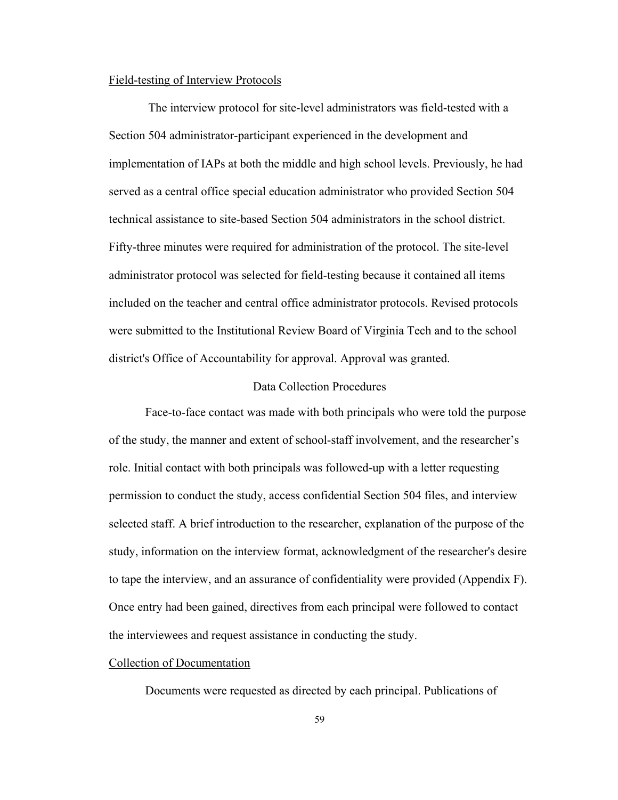## Field-testing of Interview Protocols

 The interview protocol for site-level administrators was field-tested with a Section 504 administrator-participant experienced in the development and implementation of IAPs at both the middle and high school levels. Previously, he had served as a central office special education administrator who provided Section 504 technical assistance to site-based Section 504 administrators in the school district. Fifty-three minutes were required for administration of the protocol. The site-level administrator protocol was selected for field-testing because it contained all items included on the teacher and central office administrator protocols. Revised protocols were submitted to the Institutional Review Board of Virginia Tech and to the school district's Office of Accountability for approval. Approval was granted.

## Data Collection Procedures

Face-to-face contact was made with both principals who were told the purpose of the study, the manner and extent of school-staff involvement, and the researcher's role. Initial contact with both principals was followed-up with a letter requesting permission to conduct the study, access confidential Section 504 files, and interview selected staff. A brief introduction to the researcher, explanation of the purpose of the study, information on the interview format, acknowledgment of the researcher's desire to tape the interview, and an assurance of confidentiality were provided (Appendix F). Once entry had been gained, directives from each principal were followed to contact the interviewees and request assistance in conducting the study.

## Collection of Documentation

Documents were requested as directed by each principal. Publications of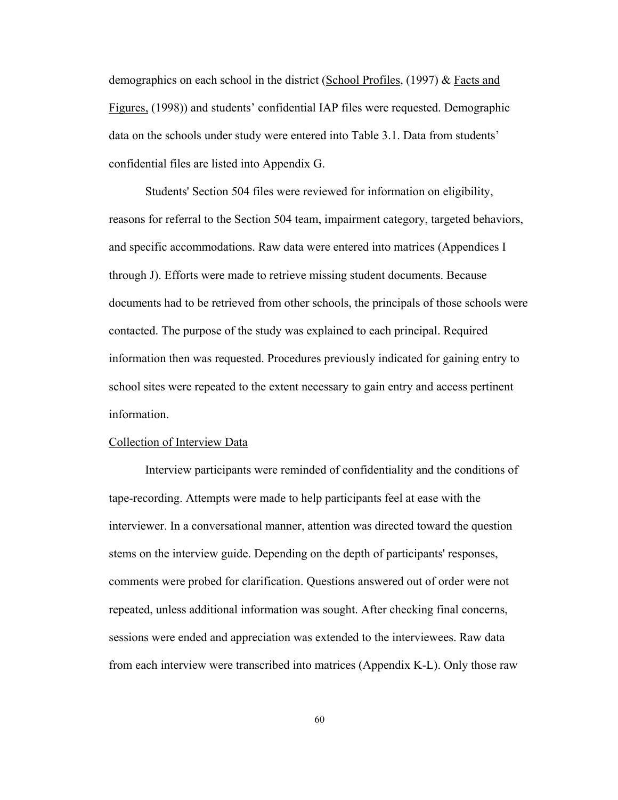demographics on each school in the district (School Profiles, (1997) & Facts and Figures, (1998)) and students' confidential IAP files were requested. Demographic data on the schools under study were entered into Table 3.1. Data from students' confidential files are listed into Appendix G.

Students' Section 504 files were reviewed for information on eligibility, reasons for referral to the Section 504 team, impairment category, targeted behaviors, and specific accommodations. Raw data were entered into matrices (Appendices I through J). Efforts were made to retrieve missing student documents. Because documents had to be retrieved from other schools, the principals of those schools were contacted. The purpose of the study was explained to each principal. Required information then was requested. Procedures previously indicated for gaining entry to school sites were repeated to the extent necessary to gain entry and access pertinent information.

### Collection of Interview Data

Interview participants were reminded of confidentiality and the conditions of tape-recording. Attempts were made to help participants feel at ease with the interviewer. In a conversational manner, attention was directed toward the question stems on the interview guide. Depending on the depth of participants' responses, comments were probed for clarification. Questions answered out of order were not repeated, unless additional information was sought. After checking final concerns, sessions were ended and appreciation was extended to the interviewees. Raw data from each interview were transcribed into matrices (Appendix K-L). Only those raw

60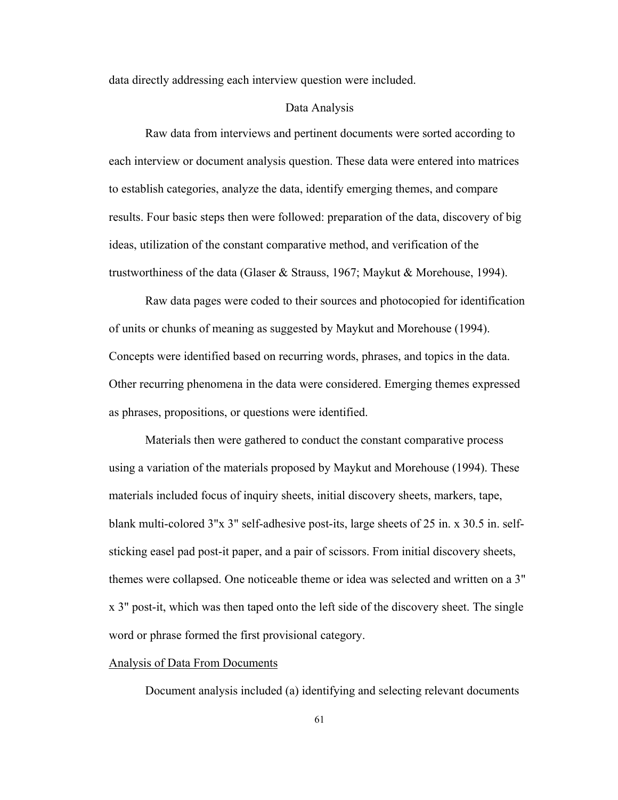data directly addressing each interview question were included.

## Data Analysis

Raw data from interviews and pertinent documents were sorted according to each interview or document analysis question. These data were entered into matrices to establish categories, analyze the data, identify emerging themes, and compare results. Four basic steps then were followed: preparation of the data, discovery of big ideas, utilization of the constant comparative method, and verification of the trustworthiness of the data (Glaser & Strauss, 1967; Maykut & Morehouse, 1994).

Raw data pages were coded to their sources and photocopied for identification of units or chunks of meaning as suggested by Maykut and Morehouse (1994). Concepts were identified based on recurring words, phrases, and topics in the data. Other recurring phenomena in the data were considered. Emerging themes expressed as phrases, propositions, or questions were identified.

Materials then were gathered to conduct the constant comparative process using a variation of the materials proposed by Maykut and Morehouse (1994). These materials included focus of inquiry sheets, initial discovery sheets, markers, tape, blank multi-colored 3"x 3" self-adhesive post-its, large sheets of 25 in. x 30.5 in. selfsticking easel pad post-it paper, and a pair of scissors. From initial discovery sheets, themes were collapsed. One noticeable theme or idea was selected and written on a 3" x 3" post-it, which was then taped onto the left side of the discovery sheet. The single word or phrase formed the first provisional category.

## Analysis of Data From Documents

Document analysis included (a) identifying and selecting relevant documents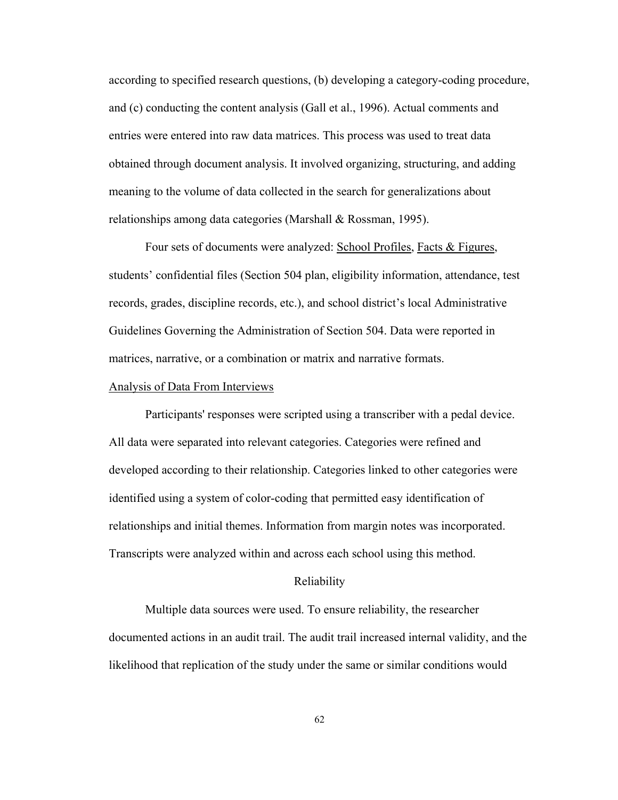according to specified research questions, (b) developing a category-coding procedure, and (c) conducting the content analysis (Gall et al., 1996). Actual comments and entries were entered into raw data matrices. This process was used to treat data obtained through document analysis. It involved organizing, structuring, and adding meaning to the volume of data collected in the search for generalizations about relationships among data categories (Marshall & Rossman, 1995).

Four sets of documents were analyzed: School Profiles, Facts & Figures, students' confidential files (Section 504 plan, eligibility information, attendance, test records, grades, discipline records, etc.), and school district's local Administrative Guidelines Governing the Administration of Section 504. Data were reported in matrices, narrative, or a combination or matrix and narrative formats.

## Analysis of Data From Interviews

Participants' responses were scripted using a transcriber with a pedal device. All data were separated into relevant categories. Categories were refined and developed according to their relationship. Categories linked to other categories were identified using a system of color-coding that permitted easy identification of relationships and initial themes. Information from margin notes was incorporated. Transcripts were analyzed within and across each school using this method.

#### Reliability

Multiple data sources were used. To ensure reliability, the researcher documented actions in an audit trail. The audit trail increased internal validity, and the likelihood that replication of the study under the same or similar conditions would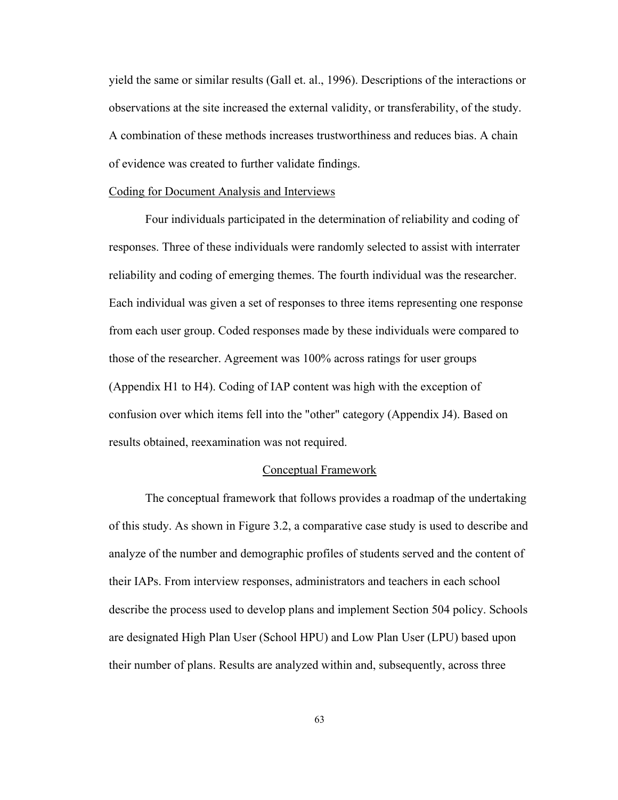yield the same or similar results (Gall et. al., 1996). Descriptions of the interactions or observations at the site increased the external validity, or transferability, of the study. A combination of these methods increases trustworthiness and reduces bias. A chain of evidence was created to further validate findings.

#### Coding for Document Analysis and Interviews

Four individuals participated in the determination of reliability and coding of responses. Three of these individuals were randomly selected to assist with interrater reliability and coding of emerging themes. The fourth individual was the researcher. Each individual was given a set of responses to three items representing one response from each user group. Coded responses made by these individuals were compared to those of the researcher. Agreement was 100% across ratings for user groups (Appendix H1 to H4). Coding of IAP content was high with the exception of confusion over which items fell into the "other" category (Appendix J4). Based on results obtained, reexamination was not required.

## Conceptual Framework

The conceptual framework that follows provides a roadmap of the undertaking of this study. As shown in Figure 3.2, a comparative case study is used to describe and analyze of the number and demographic profiles of students served and the content of their IAPs. From interview responses, administrators and teachers in each school describe the process used to develop plans and implement Section 504 policy. Schools are designated High Plan User (School HPU) and Low Plan User (LPU) based upon their number of plans. Results are analyzed within and, subsequently, across three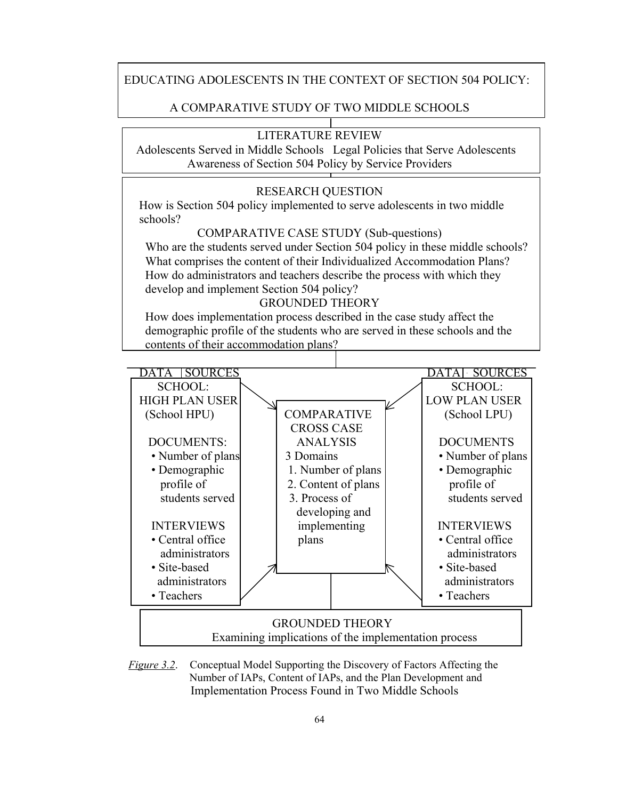# EDUCATING ADOLESCENTS IN THE CONTEXT OF SECTION 504 POLICY:

# A COMPARATIVE STUDY OF TWO MIDDLE SCHOOLS

# LITERATURE REVIEW

 Adolescents Served in Middle Schools Legal Policies that Serve Adolescents Awareness of Section 504 Policy by Service Providers

## RESEARCH QUESTION

 How is Section 504 policy implemented to serve adolescents in two middle schools?

COMPARATIVE CASE STUDY (Sub-questions)

Who are the students served under Section 504 policy in these middle schools? What comprises the content of their Individualized Accommodation Plans? How do administrators and teachers describe the process with which they develop and implement Section 504 policy?

## GROUNDED THEORY

 How does implementation process described in the case study affect the demographic profile of the students who are served in these schools and the contents of their accommodation plans?



*Figure 3.2.* Conceptual Model Supporting the Discovery of Factors Affecting the Number of IAPs, Content of IAPs, and the Plan Development and Implementation Process Found in Two Middle Schools